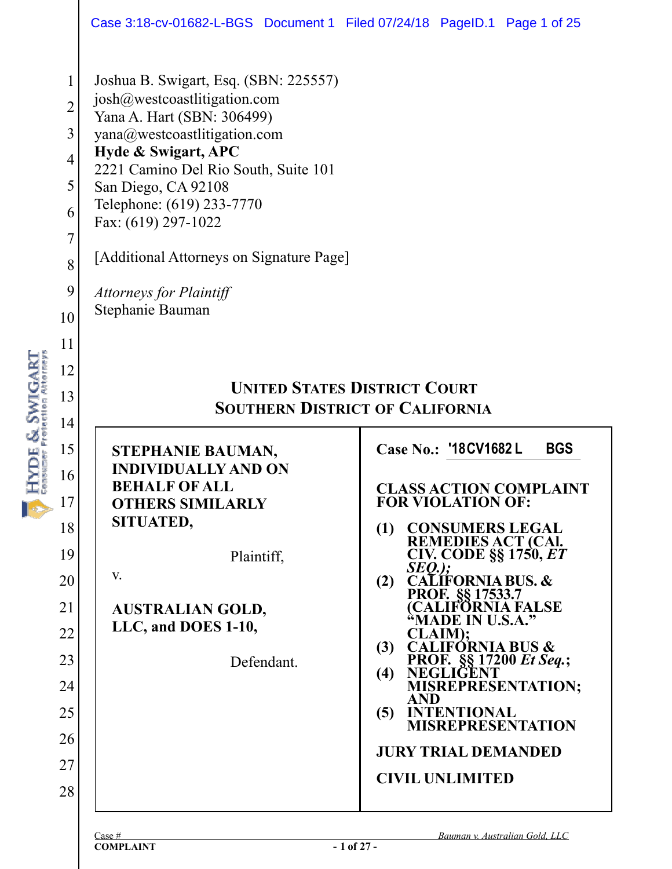|                                                                                                               | Case 3:18-cv-01682-L-BGS Document 1 Filed 07/24/18 PageID.1 Page 1 of 25                                                                                                                                                                                                                                                                                                        |                                                                                                                                                                                                                                                                                                                                                                                                                                                                                                                                                                             |  |  |  |  |  |  |
|---------------------------------------------------------------------------------------------------------------|---------------------------------------------------------------------------------------------------------------------------------------------------------------------------------------------------------------------------------------------------------------------------------------------------------------------------------------------------------------------------------|-----------------------------------------------------------------------------------------------------------------------------------------------------------------------------------------------------------------------------------------------------------------------------------------------------------------------------------------------------------------------------------------------------------------------------------------------------------------------------------------------------------------------------------------------------------------------------|--|--|--|--|--|--|
| $\mathbf{1}$<br>$\overline{2}$<br>3<br>$\overline{4}$<br>5<br>6<br>$\overline{7}$<br>8<br>9<br>10<br>11<br>12 | Joshua B. Swigart, Esq. (SBN: 225557)<br>josh@westcoastlitigation.com<br>Yana A. Hart (SBN: 306499)<br>yana@westcoastlitigation.com<br>Hyde & Swigart, APC<br>2221 Camino Del Rio South, Suite 101<br>San Diego, CA 92108<br>Telephone: (619) 233-7770<br>Fax: (619) 297-1022<br>[Additional Attorneys on Signature Page]<br><b>Attorneys for Plaintiff</b><br>Stephanie Bauman |                                                                                                                                                                                                                                                                                                                                                                                                                                                                                                                                                                             |  |  |  |  |  |  |
| $\&$ SWIGA<br>13                                                                                              | <b>UNITED STATES DISTRICT COURT</b><br><b>SOUTHERN DISTRICT OF CALIFORNIA</b>                                                                                                                                                                                                                                                                                                   |                                                                                                                                                                                                                                                                                                                                                                                                                                                                                                                                                                             |  |  |  |  |  |  |
| 14                                                                                                            |                                                                                                                                                                                                                                                                                                                                                                                 |                                                                                                                                                                                                                                                                                                                                                                                                                                                                                                                                                                             |  |  |  |  |  |  |
| 15<br>16<br>17<br>18<br>19<br>20<br>21<br>22<br>23<br>24<br>25<br>26<br>27<br>28                              | STEPHANIE BAUMAN,<br><b>INDIVIDUALLY AND ON</b><br><b>BEHALF OF ALL</b><br><b>OTHERS SIMILARLY</b><br>SITUATED,<br>Plaintiff,<br>V.<br><b>AUSTRALIAN GOLD,</b><br>LLC, and DOES 1-10,<br>Defendant.                                                                                                                                                                             | Case No.: '18CV1682L<br><b>BGS</b><br><b>CLASS ACTION COMPLAINT</b><br><b>FOR VIOLATION OF:</b><br><b>CONSUMERS LEGAL</b><br>(1)<br><b>REMEDIES ACT (CAI.</b><br><b>CIV. CODE §§ 1750, ET</b><br><i>SEQ.);</i><br>CALIFORNIA BUS. &<br>(2)<br>PROF. 88 17533.7<br>(CALIFORNIA FALSE<br>"MADE IN U.S.A."<br><b>CLAIM);<br/>CALIFORNIA BUS &amp;</b><br>(3)<br>PROF. §§ 17200 Et Seq.;<br>(4)<br><b>NEGLIGENT</b><br><b>MISREPRESENTATION;</b><br><b>AND</b><br><b>INTENTIONAL</b><br>(5)<br><b>MISREPRESENTATION</b><br><b>JURY TRIAL DEMANDED</b><br><b>CIVIL UNLIMITED</b> |  |  |  |  |  |  |
|                                                                                                               | Case #<br><b>COMPLAINT</b>                                                                                                                                                                                                                                                                                                                                                      | Bauman v. Australian Gold, LLC<br>$-1$ of 27 -                                                                                                                                                                                                                                                                                                                                                                                                                                                                                                                              |  |  |  |  |  |  |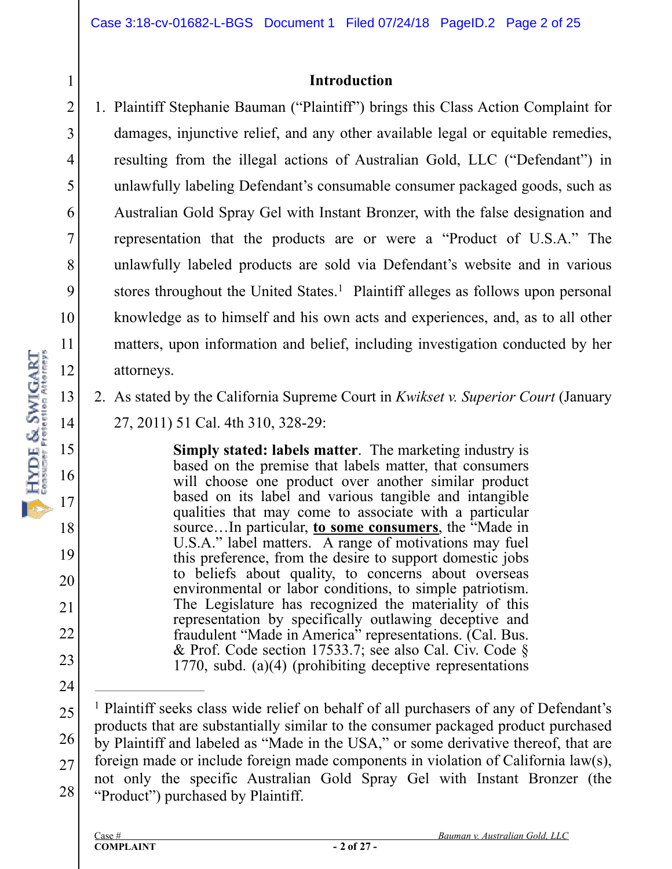#### **Introduction**

- 1. Plaintiff Stephanie Bauman ("Plaintiff") brings this Class Action Complaint for damages, injunctive relief, and any other available legal or equitable remedies, resulting from the illegal actions of Australian Gold, LLC ("Defendant") in unlawfully labeling Defendant's consumable consumer packaged goods, such as Australian Gold Spray Gel with Instant Bronzer, with the false designation and representation that the products are or were a "Product of U.S.A." The unlawfully labeled products are sold via Defendant's website and in various stores throughout the United States.<sup>1</sup> Plaintiff alleges as follows upon personal knowledge as to himself and his own acts and experiences, and, as to all other matters, upon information and belief, including investigation conducted by her attorneys.
	- 2. As stated by the California Supreme Court in *Kwikset v. Superior Court* (January 27, 2011) 51 Cal. 4th 310, 328-29:

**Simply stated: labels matter**. The marketing industry is based on the premise that labels matter, that consumers will choose one product over another similar product based on its label and various tangible and intangible qualities that may come to associate with a particular source…In particular, **to some consumers**, the "Made in U.S.A." label matters. A range of motivations may fuel this preference, from the desire to support domestic jobs to beliefs about quality, to concerns about overseas environmental or labor conditions, to simple patriotism. The Legislature has recognized the materiality of this representation by specifically outlawing deceptive and fraudulent "Made in America" representations. (Cal. Bus.) & Prof. Code section 17533.7; see also Cal. Civ. Code § 1770, subd. (a)(4) (prohibiting deceptive representations

1

2

3

4

5

6

7

8

9

10

18

19

20

21

22

23

<sup>25</sup>  26 27 28 <sup>1</sup> Plaintiff seeks class wide relief on behalf of all purchasers of any of Defendant's products that are substantially similar to the consumer packaged product purchased by Plaintiff and labeled as "Made in the USA," or some derivative thereof, that are foreign made or include foreign made components in violation of California law(s), not only the specific Australian Gold Spray Gel with Instant Bronzer (the "Product") purchased by Plaintiff.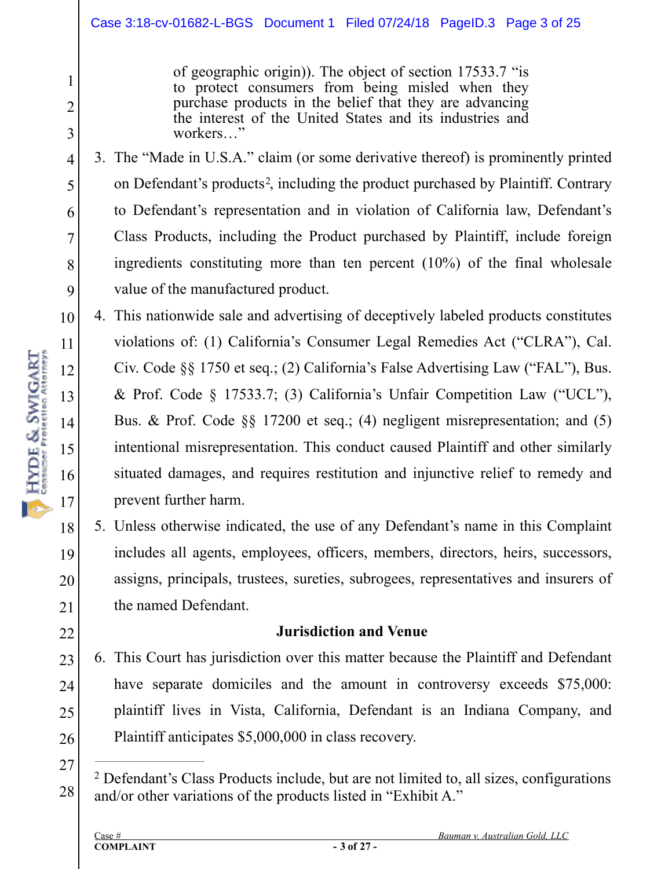of geographic origin)). The object of section 17533.7 "is to protect consumers from being misled when they purchase products in the belief that they are advancing the interest of the United States and its industries and workers…"

3. The "Made in U.S.A." claim (or some derivative thereof) is prominently printed on Defendant's products<sup>2</sup>, including the product purchased by Plaintiff. Contrary to Defendant's representation and in violation of California law, Defendant's Class Products, including the Product purchased by Plaintiff, include foreign ingredients constituting more than ten percent (10%) of the final wholesale value of the manufactured product.

10 11 12 13 14 15 16 17 4. This nationwide sale and advertising of deceptively labeled products constitutes violations of: (1) California's Consumer Legal Remedies Act ("CLRA"), Cal. Civ. Code §§ 1750 et seq.; (2) California's False Advertising Law ("FAL"), Bus. & Prof. Code § 17533.7; (3) California's Unfair Competition Law ("UCL"), Bus. & Prof. Code §§ 17200 et seq.; (4) negligent misrepresentation; and (5) intentional misrepresentation. This conduct caused Plaintiff and other similarly situated damages, and requires restitution and injunctive relief to remedy and prevent further harm.

5. Unless otherwise indicated, the use of any Defendant's name in this Complaint includes all agents, employees, officers, members, directors, heirs, successors, assigns, principals, trustees, sureties, subrogees, representatives and insurers of the named Defendant.

#### **Jurisdiction and Venue**

- 23 24 25 26 6. This Court has jurisdiction over this matter because the Plaintiff and Defendant have separate domiciles and the amount in controversy exceeds \$75,000: plaintiff lives in Vista, California, Defendant is an Indiana Company, and Plaintiff anticipates \$5,000,000 in class recovery.
- 27

28

18

HYDE & SWIGART

19

20

21

22

1

2

3

4

5

6

7

8

Defendant's Class Products include, but are not limited to, all sizes, configurations 2 and/or other variations of the products listed in "Exhibit A."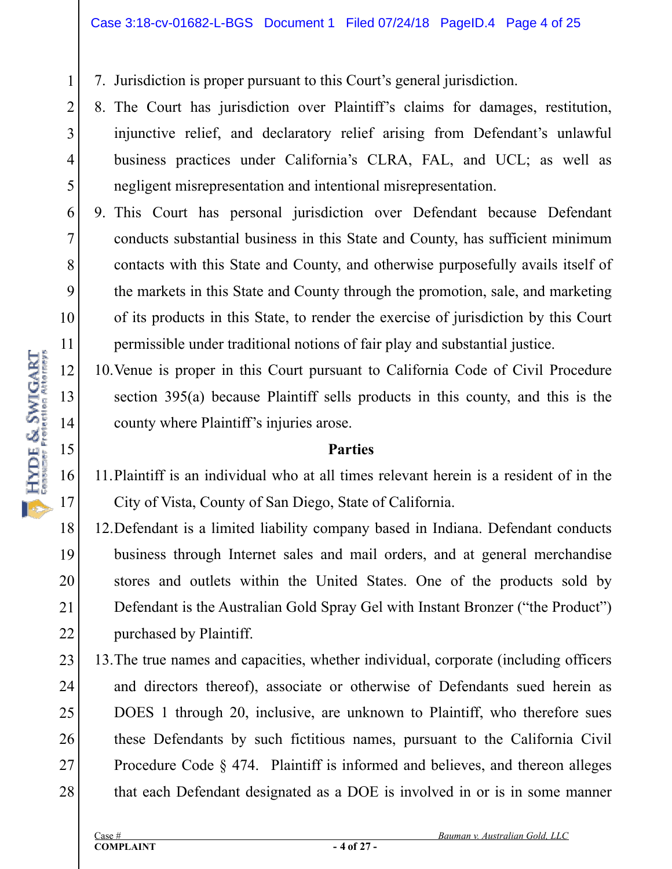7. Jurisdiction is proper pursuant to this Court's general jurisdiction.

- 8. The Court has jurisdiction over Plaintiff's claims for damages, restitution, injunctive relief, and declaratory relief arising from Defendant's unlawful business practices under California's CLRA, FAL, and UCL; as well as negligent misrepresentation and intentional misrepresentation.
- 8 9 10 9. This Court has personal jurisdiction over Defendant because Defendant conducts substantial business in this State and County, has sufficient minimum contacts with this State and County, and otherwise purposefully avails itself of the markets in this State and County through the promotion, sale, and marketing of its products in this State, to render the exercise of jurisdiction by this Court permissible under traditional notions of fair play and substantial justice.
	- 10.Venue is proper in this Court pursuant to California Code of Civil Procedure section 395(a) because Plaintiff sells products in this county, and this is the county where Plaintiff's injuries arose.

#### **Parties**

11.Plaintiff is an individual who at all times relevant herein is a resident of in the City of Vista, County of San Diego, State of California.

18 19 20 21 22 12.Defendant is a limited liability company based in Indiana. Defendant conducts business through Internet sales and mail orders, and at general merchandise stores and outlets within the United States. One of the products sold by Defendant is the Australian Gold Spray Gel with Instant Bronzer ("the Product") purchased by Plaintiff.

23 24 25 26 27 28 13.The true names and capacities, whether individual, corporate (including officers and directors thereof), associate or otherwise of Defendants sued herein as DOES 1 through 20, inclusive, are unknown to Plaintiff, who therefore sues these Defendants by such fictitious names, pursuant to the California Civil Procedure Code § 474. Plaintiff is informed and believes, and thereon alleges that each Defendant designated as a DOE is involved in or is in some manner

1

2

3

4

5

6

7

11

12

13

14

15

16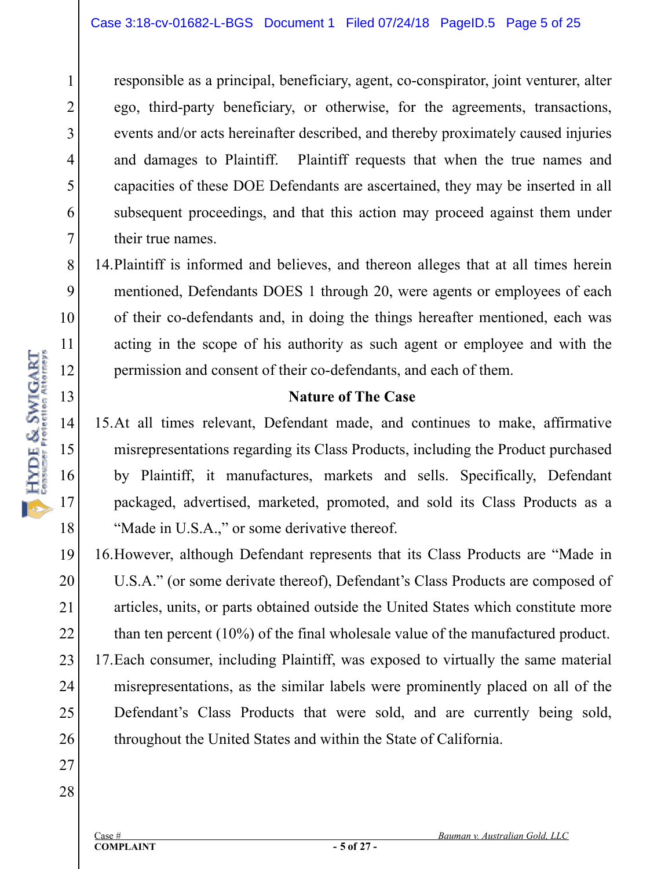responsible as a principal, beneficiary, agent, co-conspirator, joint venturer, alter ego, third-party beneficiary, or otherwise, for the agreements, transactions, events and/or acts hereinafter described, and thereby proximately caused injuries and damages to Plaintiff. Plaintiff requests that when the true names and capacities of these DOE Defendants are ascertained, they may be inserted in all subsequent proceedings, and that this action may proceed against them under their true names.

14.Plaintiff is informed and believes, and thereon alleges that at all times herein mentioned, Defendants DOES 1 through 20, were agents or employees of each of their co-defendants and, in doing the things hereafter mentioned, each was acting in the scope of his authority as such agent or employee and with the permission and consent of their co-defendants, and each of them.

#### **Nature of The Case**

15.At all times relevant, Defendant made, and continues to make, affirmative misrepresentations regarding its Class Products, including the Product purchased by Plaintiff, it manufactures, markets and sells. Specifically, Defendant packaged, advertised, marketed, promoted, and sold its Class Products as a "Made in U.S.A.," or some derivative thereof.

19 20 21 22 23 24 25 26 16.However, although Defendant represents that its Class Products are "Made in U.S.A." (or some derivate thereof), Defendant's Class Products are composed of articles, units, or parts obtained outside the United States which constitute more than ten percent (10%) of the final wholesale value of the manufactured product. 17.Each consumer, including Plaintiff, was exposed to virtually the same material misrepresentations, as the similar labels were prominently placed on all of the Defendant's Class Products that were sold, and are currently being sold, throughout the United States and within the State of California.

27 28

1

2

3

4

5

6

7

8

9

10

11

12

13

14

HYDE & SWIGART

15

16

17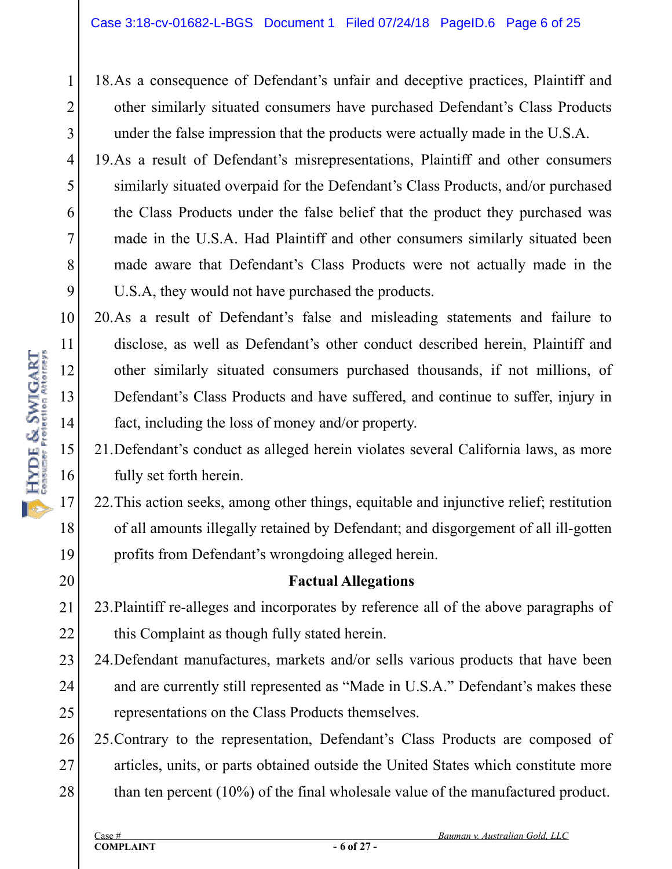18.As a consequence of Defendant's unfair and deceptive practices, Plaintiff and other similarly situated consumers have purchased Defendant's Class Products under the false impression that the products were actually made in the U.S.A.

19.As a result of Defendant's misrepresentations, Plaintiff and other consumers similarly situated overpaid for the Defendant's Class Products, and/or purchased the Class Products under the false belief that the product they purchased was made in the U.S.A. Had Plaintiff and other consumers similarly situated been made aware that Defendant's Class Products were not actually made in the U.S.A, they would not have purchased the products.

10 11 12 13 14 20.As a result of Defendant's false and misleading statements and failure to disclose, as well as Defendant's other conduct described herein, Plaintiff and other similarly situated consumers purchased thousands, if not millions, of Defendant's Class Products and have suffered, and continue to suffer, injury in fact, including the loss of money and/or property.

21.Defendant's conduct as alleged herein violates several California laws, as more fully set forth herein.

22.This action seeks, among other things, equitable and injunctive relief; restitution of all amounts illegally retained by Defendant; and disgorgement of all ill-gotten profits from Defendant's wrongdoing alleged herein.

#### **Factual Allegations**

21 22 23.Plaintiff re-alleges and incorporates by reference all of the above paragraphs of this Complaint as though fully stated herein.

- 23 24 25 24.Defendant manufactures, markets and/or sells various products that have been and are currently still represented as "Made in U.S.A." Defendant's makes these representations on the Class Products themselves.
- 26 27 28 25.Contrary to the representation, Defendant's Class Products are composed of articles, units, or parts obtained outside the United States which constitute more than ten percent (10%) of the final wholesale value of the manufactured product.

15

16

17

18

19

20

1

2

3

4

5

6

7

8

9

Case # *Bauman v. Australian Gold, LLC*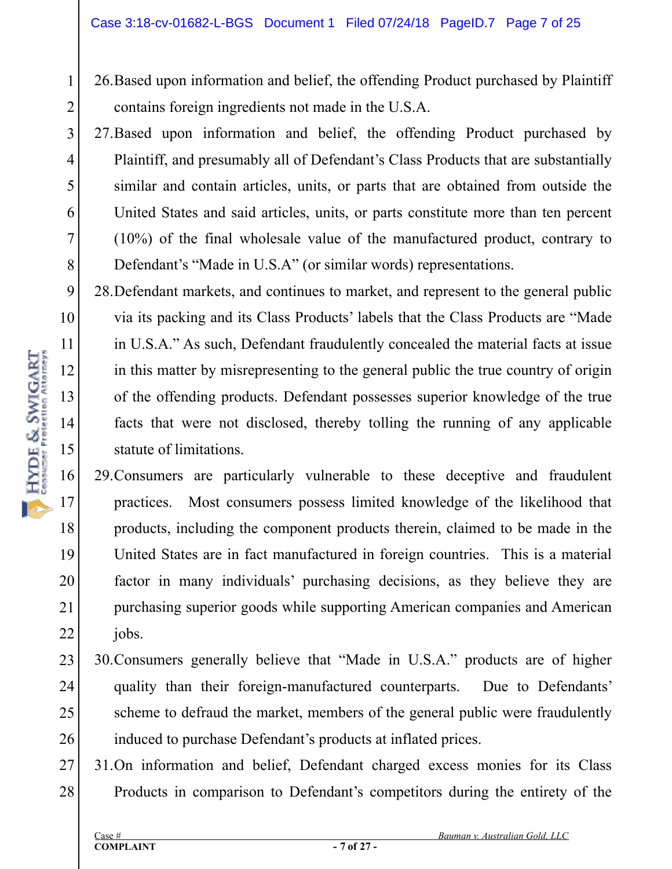- 26.Based upon information and belief, the offending Product purchased by Plaintiff contains foreign ingredients not made in the U.S.A.
- 27.Based upon information and belief, the offending Product purchased by Plaintiff, and presumably all of Defendant's Class Products that are substantially similar and contain articles, units, or parts that are obtained from outside the United States and said articles, units, or parts constitute more than ten percent (10%) of the final wholesale value of the manufactured product, contrary to Defendant's "Made in U.S.A" (or similar words) representations.
- 28.Defendant markets, and continues to market, and represent to the general public via its packing and its Class Products' labels that the Class Products are "Made in U.S.A." As such, Defendant fraudulently concealed the material facts at issue in this matter by misrepresenting to the general public the true country of origin of the offending products. Defendant possesses superior knowledge of the true facts that were not disclosed, thereby tolling the running of any applicable statute of limitations.
- 16 17 18 19 20 21 22 29.Consumers are particularly vulnerable to these deceptive and fraudulent practices. Most consumers possess limited knowledge of the likelihood that products, including the component products therein, claimed to be made in the United States are in fact manufactured in foreign countries. This is a material factor in many individuals' purchasing decisions, as they believe they are purchasing superior goods while supporting American companies and American jobs.
- 23 24 25 26 30.Consumers generally believe that "Made in U.S.A." products are of higher quality than their foreign-manufactured counterparts. Due to Defendants' scheme to defraud the market, members of the general public were fraudulently induced to purchase Defendant's products at inflated prices.
- 27 28 31.On information and belief, Defendant charged excess monies for its Class Products in comparison to Defendant's competitors during the entirety of the

1

2

3

4

5

6

7

8

9

10

11

12

13

14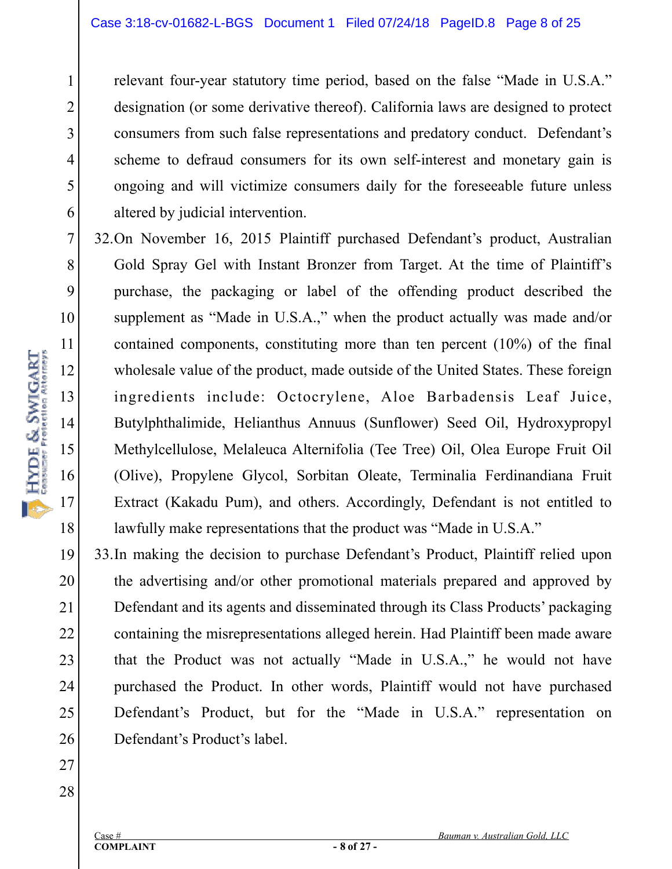relevant four-year statutory time period, based on the false "Made in U.S.A." designation (or some derivative thereof). California laws are designed to protect consumers from such false representations and predatory conduct. Defendant's scheme to defraud consumers for its own self-interest and monetary gain is ongoing and will victimize consumers daily for the foreseeable future unless altered by judicial intervention.

32.On November 16, 2015 Plaintiff purchased Defendant's product, Australian Gold Spray Gel with Instant Bronzer from Target. At the time of Plaintiff's purchase, the packaging or label of the offending product described the supplement as "Made in U.S.A.," when the product actually was made and/or contained components, constituting more than ten percent (10%) of the final wholesale value of the product, made outside of the United States. These foreign ingredients include: Octocrylene, Aloe Barbadensis Leaf Juice, Butylphthalimide, Helianthus Annuus (Sunflower) Seed Oil, Hydroxypropyl Methylcellulose, Melaleuca Alternifolia (Tee Tree) Oil, Olea Europe Fruit Oil (Olive), Propylene Glycol, Sorbitan Oleate, Terminalia Ferdinandiana Fruit Extract (Kakadu Pum), and others. Accordingly, Defendant is not entitled to lawfully make representations that the product was "Made in U.S.A."

19 20 21 22 23 24 25 26 33.In making the decision to purchase Defendant's Product, Plaintiff relied upon the advertising and/or other promotional materials prepared and approved by Defendant and its agents and disseminated through its Class Products' packaging containing the misrepresentations alleged herein. Had Plaintiff been made aware that the Product was not actually "Made in U.S.A.," he would not have purchased the Product. In other words, Plaintiff would not have purchased Defendant's Product, but for the "Made in U.S.A." representation on Defendant's Product's label.

1

2

3

4

5

6

7

8

9

10

11

12

18

27

28

**COMPLAINT**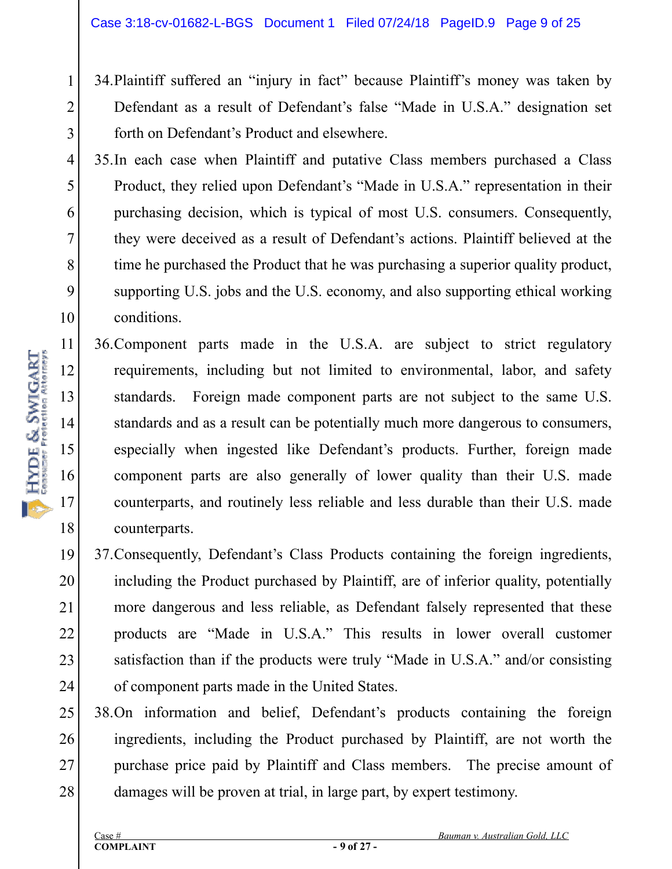- 34.Plaintiff suffered an "injury in fact" because Plaintiff's money was taken by Defendant as a result of Defendant's false "Made in U.S.A." designation set forth on Defendant's Product and elsewhere.
- 4 5 6 8 9 10 35.In each case when Plaintiff and putative Class members purchased a Class Product, they relied upon Defendant's "Made in U.S.A." representation in their purchasing decision, which is typical of most U.S. consumers. Consequently, they were deceived as a result of Defendant's actions. Plaintiff believed at the time he purchased the Product that he was purchasing a superior quality product, supporting U.S. jobs and the U.S. economy, and also supporting ethical working conditions.
	- 36.Component parts made in the U.S.A. are subject to strict regulatory requirements, including but not limited to environmental, labor, and safety standards. Foreign made component parts are not subject to the same U.S. standards and as a result can be potentially much more dangerous to consumers, especially when ingested like Defendant's products. Further, foreign made component parts are also generally of lower quality than their U.S. made counterparts, and routinely less reliable and less durable than their U.S. made counterparts.
- 19 20 21 22 23 24 37.Consequently, Defendant's Class Products containing the foreign ingredients, including the Product purchased by Plaintiff, are of inferior quality, potentially more dangerous and less reliable, as Defendant falsely represented that these products are "Made in U.S.A." This results in lower overall customer satisfaction than if the products were truly "Made in U.S.A." and/or consisting of component parts made in the United States.
- 25 26 27 28 38.On information and belief, Defendant's products containing the foreign ingredients, including the Product purchased by Plaintiff, are not worth the purchase price paid by Plaintiff and Class members. The precise amount of damages will be proven at trial, in large part, by expert testimony.

1

2

3

7

11

12

13

14

15

16

17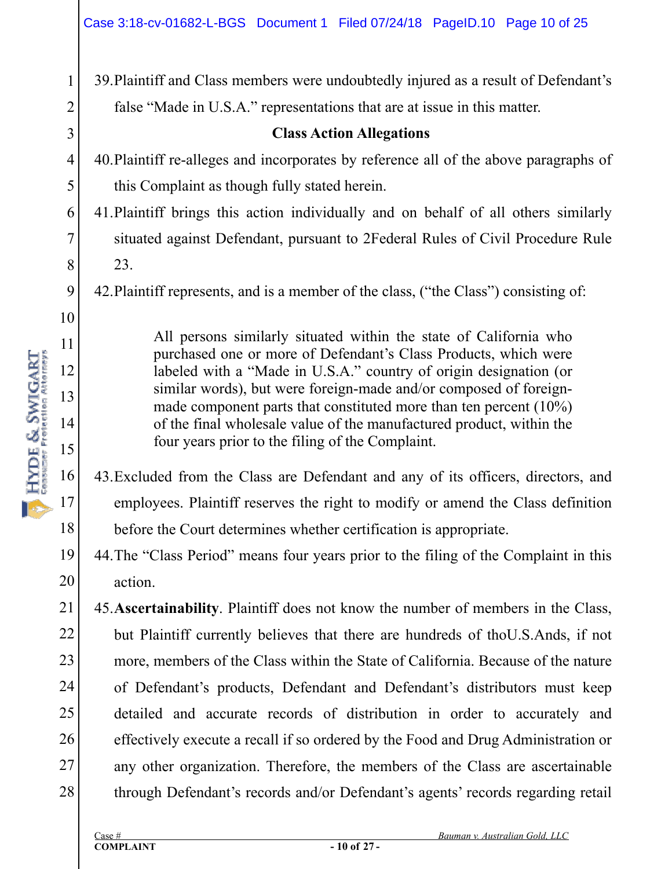39.Plaintiff and Class members were undoubtedly injured as a result of Defendant's false "Made in U.S.A." representations that are at issue in this matter.

#### **Class Action Allegations**

- 4 5 40.Plaintiff re-alleges and incorporates by reference all of the above paragraphs of this Complaint as though fully stated herein.
- 6 7 8 41.Plaintiff brings this action individually and on behalf of all others similarly situated against Defendant, pursuant to 2Federal Rules of Civil Procedure Rule 23.
	- 42.Plaintiff represents, and is a member of the class, ("the Class") consisting of:

All persons similarly situated within the state of California who purchased one or more of Defendant's Class Products, which were labeled with a "Made in U.S.A." country of origin designation (or similar words), but were foreign-made and/or composed of foreignmade component parts that constituted more than ten percent (10%) of the final wholesale value of the manufactured product, within the four years prior to the filing of the Complaint.

43.Excluded from the Class are Defendant and any of its officers, directors, and employees. Plaintiff reserves the right to modify or amend the Class definition before the Court determines whether certification is appropriate.

19 20 44.The "Class Period" means four years prior to the filing of the Complaint in this action.

21 22 23 24 25 26 27 28 45.**Ascertainability**. Plaintiff does not know the number of members in the Class, but Plaintiff currently believes that there are hundreds of thoU.S.Ands, if not more, members of the Class within the State of California. Because of the nature of Defendant's products, Defendant and Defendant's distributors must keep detailed and accurate records of distribution in order to accurately and effectively execute a recall if so ordered by the Food and Drug Administration or any other organization. Therefore, the members of the Class are ascertainable through Defendant's records and/or Defendant's agents' records regarding retail

1

2

3

9

10

11

12

13

14

15

16

17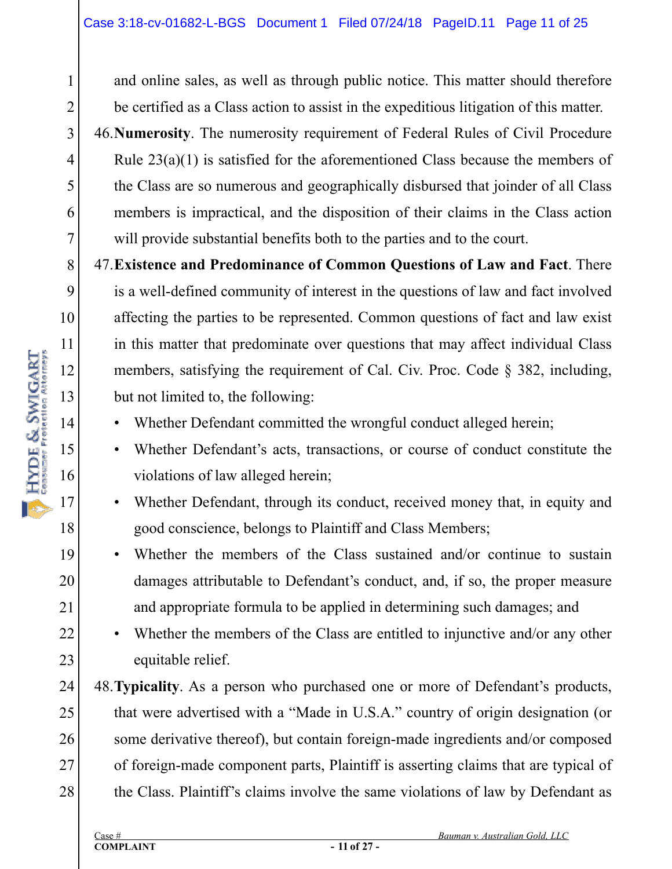and online sales, as well as through public notice. This matter should therefore be certified as a Class action to assist in the expeditious litigation of this matter.

46.**Numerosity**. The numerosity requirement of Federal Rules of Civil Procedure Rule 23(a)(1) is satisfied for the aforementioned Class because the members of the Class are so numerous and geographically disbursed that joinder of all Class members is impractical, and the disposition of their claims in the Class action will provide substantial benefits both to the parties and to the court.

47.**Existence and Predominance of Common Questions of Law and Fact**. There is a well-defined community of interest in the questions of law and fact involved affecting the parties to be represented. Common questions of fact and law exist in this matter that predominate over questions that may affect individual Class members, satisfying the requirement of Cal. Civ. Proc. Code § 382, including, but not limited to, the following:

- Whether Defendant committed the wrongful conduct alleged herein;
- Whether Defendant's acts, transactions, or course of conduct constitute the violations of law alleged herein;
- Whether Defendant, through its conduct, received money that, in equity and good conscience, belongs to Plaintiff and Class Members;
- Whether the members of the Class sustained and/or continue to sustain damages attributable to Defendant's conduct, and, if so, the proper measure and appropriate formula to be applied in determining such damages; and
- Whether the members of the Class are entitled to injunctive and/or any other equitable relief.

24 25 26 27 28 48.**Typicality**. As a person who purchased one or more of Defendant's products, that were advertised with a "Made in U.S.A." country of origin designation (or some derivative thereof), but contain foreign-made ingredients and/or composed of foreign-made component parts, Plaintiff is asserting claims that are typical of the Class. Plaintiff's claims involve the same violations of law by Defendant as

1

2

3

4

5

6

7

8

9

10

18

19

20

21

22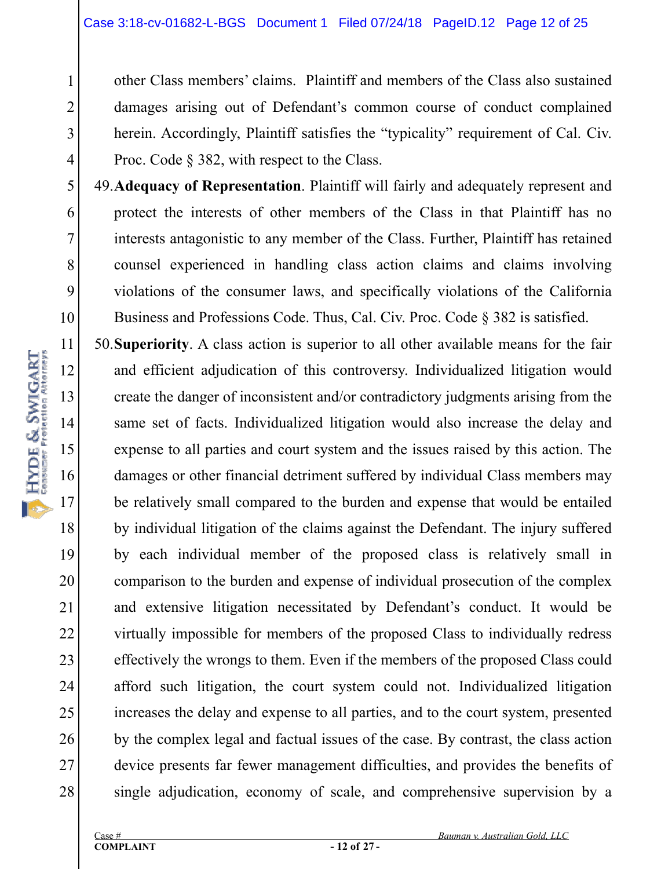other Class members' claims. Plaintiff and members of the Class also sustained damages arising out of Defendant's common course of conduct complained herein. Accordingly, Plaintiff satisfies the "typicality" requirement of Cal. Civ. Proc. Code § 382, with respect to the Class.

49.**Adequacy of Representation**. Plaintiff will fairly and adequately represent and protect the interests of other members of the Class in that Plaintiff has no interests antagonistic to any member of the Class. Further, Plaintiff has retained counsel experienced in handling class action claims and claims involving violations of the consumer laws, and specifically violations of the California Business and Professions Code. Thus, Cal. Civ. Proc. Code § 382 is satisfied.

50.**Superiority**. A class action is superior to all other available means for the fair and efficient adjudication of this controversy. Individualized litigation would create the danger of inconsistent and/or contradictory judgments arising from the same set of facts. Individualized litigation would also increase the delay and expense to all parties and court system and the issues raised by this action. The damages or other financial detriment suffered by individual Class members may be relatively small compared to the burden and expense that would be entailed by individual litigation of the claims against the Defendant. The injury suffered by each individual member of the proposed class is relatively small in comparison to the burden and expense of individual prosecution of the complex and extensive litigation necessitated by Defendant's conduct. It would be virtually impossible for members of the proposed Class to individually redress effectively the wrongs to them. Even if the members of the proposed Class could afford such litigation, the court system could not. Individualized litigation increases the delay and expense to all parties, and to the court system, presented by the complex legal and factual issues of the case. By contrast, the class action device presents far fewer management difficulties, and provides the benefits of single adjudication, economy of scale, and comprehensive supervision by a

1

2

3

4

5

6

7

8

9

10

11

12

13

14

15

16

17

18

19

20

21

22

23

24

25

26

27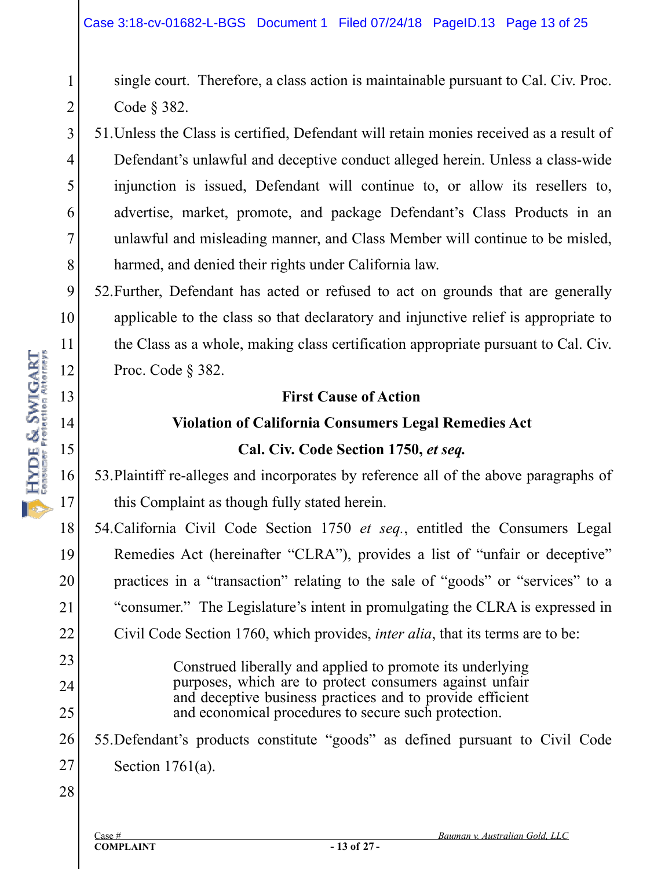single court. Therefore, a class action is maintainable pursuant to Cal. Civ. Proc. Code § 382.

3 4 5 8 51.Unless the Class is certified, Defendant will retain monies received as a result of Defendant's unlawful and deceptive conduct alleged herein. Unless a class-wide injunction is issued, Defendant will continue to, or allow its resellers to, advertise, market, promote, and package Defendant's Class Products in an unlawful and misleading manner, and Class Member will continue to be misled, harmed, and denied their rights under California law.

52.Further, Defendant has acted or refused to act on grounds that are generally applicable to the class so that declaratory and injunctive relief is appropriate to the Class as a whole, making class certification appropriate pursuant to Cal. Civ. Proc. Code § 382.

#### **First Cause of Action**

#### **Violation of California Consumers Legal Remedies Act**

## **Cal. Civ. Code Section 1750,** *et seq.*

53.Plaintiff re-alleges and incorporates by reference all of the above paragraphs of this Complaint as though fully stated herein.

54.California Civil Code Section 1750 *et seq.*, entitled the Consumers Legal Remedies Act (hereinafter "CLRA"), provides a list of "unfair or deceptive" practices in a "transaction" relating to the sale of "goods" or "services" to a "consumer." The Legislature's intent in promulgating the CLRA is expressed in Civil Code Section 1760, which provides, *inter alia*, that its terms are to be:

> Construed liberally and applied to promote its underlying purposes, which are to protect consumers against unfair and deceptive business practices and to provide efficient and economical procedures to secure such protection.

26 27 55.Defendant's products constitute "goods" as defined pursuant to Civil Code Section 1761(a).

28

1

2

6

7

9

10

11

18

19

20

21

22

23

24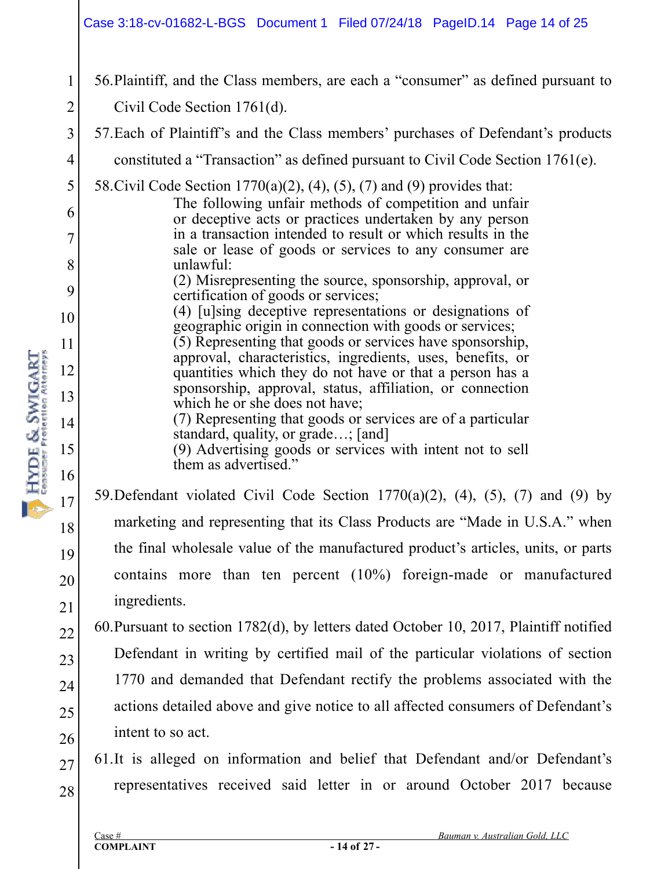#### Case 3:18-cv-01682-L-BGS Document 1 Filed 07/24/18 PageID.14 Page 14 of 25

- 1 2 3 4 5 6 7 8 9 10 11 12 13 14 15 16 17 18 19 20 21 22 23 56.Plaintiff, and the Class members, are each a "consumer" as defined pursuant to Civil Code Section 1761(d). 57.Each of Plaintiff's and the Class members' purchases of Defendant's products constituted a "Transaction" as defined pursuant to Civil Code Section 1761(e). 58.Civil Code Section 1770(a)(2), (4), (5), (7) and (9) provides that: The following unfair methods of competition and unfair or deceptive acts or practices undertaken by any person in a transaction intended to result or which results in the sale or lease of goods or services to any consumer are unlawful: (2) Misrepresenting the source, sponsorship, approval, or certification of goods or services; (4) [u]sing deceptive representations or designations of geographic origin in connection with goods or services; (5) Representing that goods or services have sponsorship, approval, characteristics, ingredients, uses, benefits, or quantities which they do not have or that a person has a sponsorship, approval, status, affiliation, or connection which he or she does not have; (7) Representing that goods or services are of a particular standard, quality, or grade…; [and] (9) Advertising goods or services with intent not to sell them as advertised." 59. Defendant violated Civil Code Section  $1770(a)(2)$ ,  $(4)$ ,  $(5)$ ,  $(7)$  and  $(9)$  by marketing and representing that its Class Products are "Made in U.S.A." when the final wholesale value of the manufactured product's articles, units, or parts contains more than ten percent (10%) foreign-made or manufactured ingredients. 60.Pursuant to section 1782(d), by letters dated October 10, 2017, Plaintiff notified Defendant in writing by certified mail of the particular violations of section
- 24 25 26 1770 and demanded that Defendant rectify the problems associated with the actions detailed above and give notice to all affected consumers of Defendant's intent to so act.
- 27 28 61.It is alleged on information and belief that Defendant and/or Defendant's representatives received said letter in or around October 2017 because

HYDE & SWIGART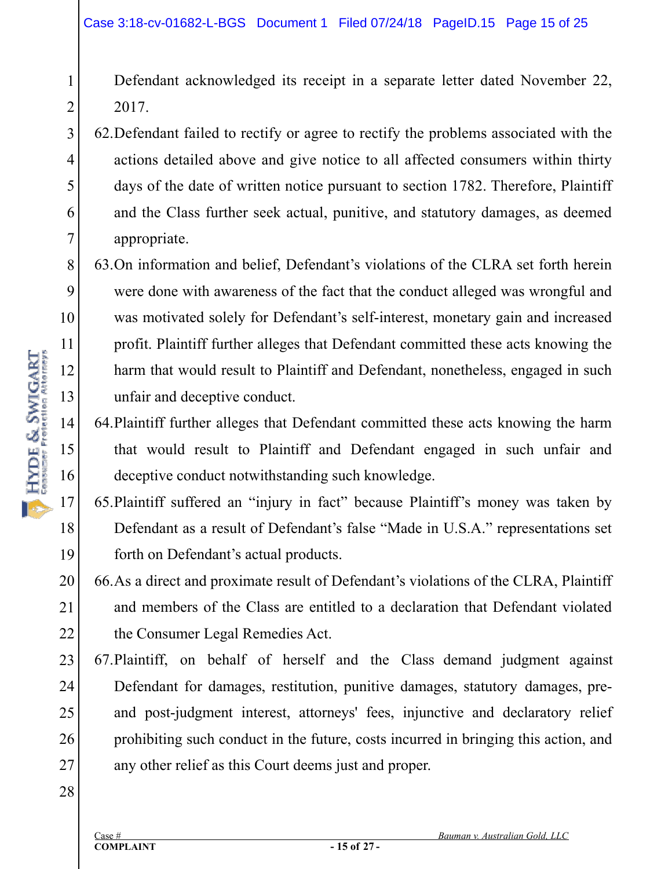- Defendant acknowledged its receipt in a separate letter dated November 22, 2017.
- 3 4 5 6 7 62.Defendant failed to rectify or agree to rectify the problems associated with the actions detailed above and give notice to all affected consumers within thirty days of the date of written notice pursuant to section 1782. Therefore, Plaintiff and the Class further seek actual, punitive, and statutory damages, as deemed appropriate.
- 8 9 10 13 63.On information and belief, Defendant's violations of the CLRA set forth herein were done with awareness of the fact that the conduct alleged was wrongful and was motivated solely for Defendant's self-interest, monetary gain and increased profit. Plaintiff further alleges that Defendant committed these acts knowing the harm that would result to Plaintiff and Defendant, nonetheless, engaged in such unfair and deceptive conduct.
	- 64.Plaintiff further alleges that Defendant committed these acts knowing the harm that would result to Plaintiff and Defendant engaged in such unfair and deceptive conduct notwithstanding such knowledge.
- 17 18 19 65.Plaintiff suffered an "injury in fact" because Plaintiff's money was taken by Defendant as a result of Defendant's false "Made in U.S.A." representations set forth on Defendant's actual products.
- 20 21 22 66.As a direct and proximate result of Defendant's violations of the CLRA, Plaintiff and members of the Class are entitled to a declaration that Defendant violated the Consumer Legal Remedies Act.
- 23 24 25 26 27 67.Plaintiff, on behalf of herself and the Class demand judgment against Defendant for damages, restitution, punitive damages, statutory damages, preand post-judgment interest, attorneys' fees, injunctive and declaratory relief prohibiting such conduct in the future, costs incurred in bringing this action, and any other relief as this Court deems just and proper.
- 28

11

12

14

16

1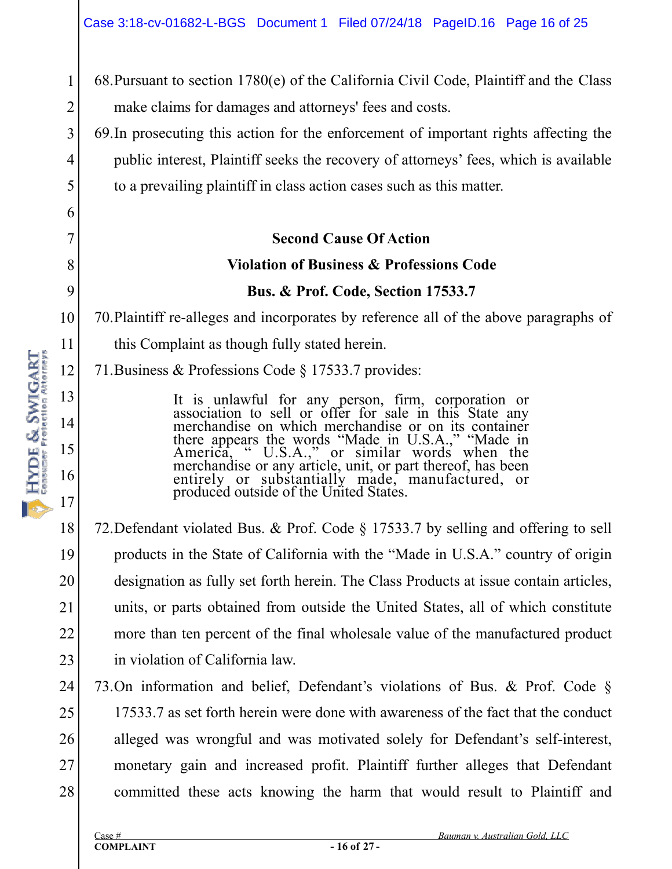68.Pursuant to section 1780(e) of the California Civil Code, Plaintiff and the Class make claims for damages and attorneys' fees and costs.

69.In prosecuting this action for the enforcement of important rights affecting the public interest, Plaintiff seeks the recovery of attorneys' fees, which is available to a prevailing plaintiff in class action cases such as this matter.

**Second Cause Of Action** 

#### **Violation of Business & Professions Code**

#### **Bus. & Prof. Code, Section 17533.7**

70.Plaintiff re-alleges and incorporates by reference all of the above paragraphs of

this Complaint as though fully stated herein.

71.Business & Professions Code § 17533.7 provides:

It is unlawful for any person, firm, corporation or association to sell or offer for sale in this State any merchandise on which merchandise or on its container there appears the words "Made in U.S.A.," "Made in America, "  $U.S.A.,$ " or similar words when the merchandise or any article, unit, or part thereof, has been entirely or substantially made, manufactured, or produced outside of the United States.

18 19 20 21 22 23 72.Defendant violated Bus. & Prof. Code § 17533.7 by selling and offering to sell products in the State of California with the "Made in U.S.A." country of origin designation as fully set forth herein. The Class Products at issue contain articles, units, or parts obtained from outside the United States, all of which constitute more than ten percent of the final wholesale value of the manufactured product in violation of California law.

24 25 26 27 28 73.On information and belief, Defendant's violations of Bus. & Prof. Code § 17533.7 as set forth herein were done with awareness of the fact that the conduct alleged was wrongful and was motivated solely for Defendant's self-interest, monetary gain and increased profit. Plaintiff further alleges that Defendant committed these acts knowing the harm that would result to Plaintiff and

1

2

3

4

5

6

7

8

9

10

11

12

13

14

15

16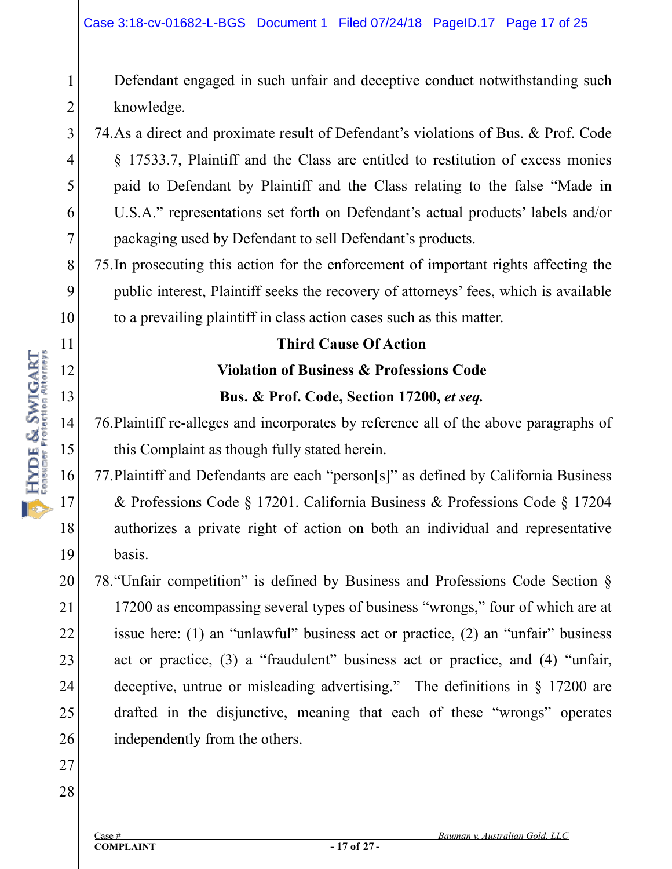Defendant engaged in such unfair and deceptive conduct notwithstanding such knowledge.

74.As a direct and proximate result of Defendant's violations of Bus. & Prof. Code § 17533.7, Plaintiff and the Class are entitled to restitution of excess monies paid to Defendant by Plaintiff and the Class relating to the false "Made in U.S.A." representations set forth on Defendant's actual products' labels and/or packaging used by Defendant to sell Defendant's products.

75.In prosecuting this action for the enforcement of important rights affecting the public interest, Plaintiff seeks the recovery of attorneys' fees, which is available to a prevailing plaintiff in class action cases such as this matter.

#### **Third Cause Of Action**

# **Violation of Business & Professions Code Bus. & Prof. Code, Section 17200,** *et seq.*

76.Plaintiff re-alleges and incorporates by reference all of the above paragraphs of this Complaint as though fully stated herein.

77.Plaintiff and Defendants are each "person[s]" as defined by California Business & Professions Code § 17201. California Business & Professions Code § 17204 authorizes a private right of action on both an individual and representative basis.

20 21 22 23 24 25 26 78."Unfair competition" is defined by Business and Professions Code Section § 17200 as encompassing several types of business "wrongs," four of which are at issue here: (1) an "unlawful" business act or practice, (2) an "unfair" business act or practice, (3) a "fraudulent" business act or practice, and (4) "unfair, deceptive, untrue or misleading advertising." The definitions in § 17200 are drafted in the disjunctive, meaning that each of these "wrongs" operates independently from the others.

27 28

1

2

3

4

5

6

7

8

9

10

11

12

13

14

HYDE & SWIGART

15

16

17

18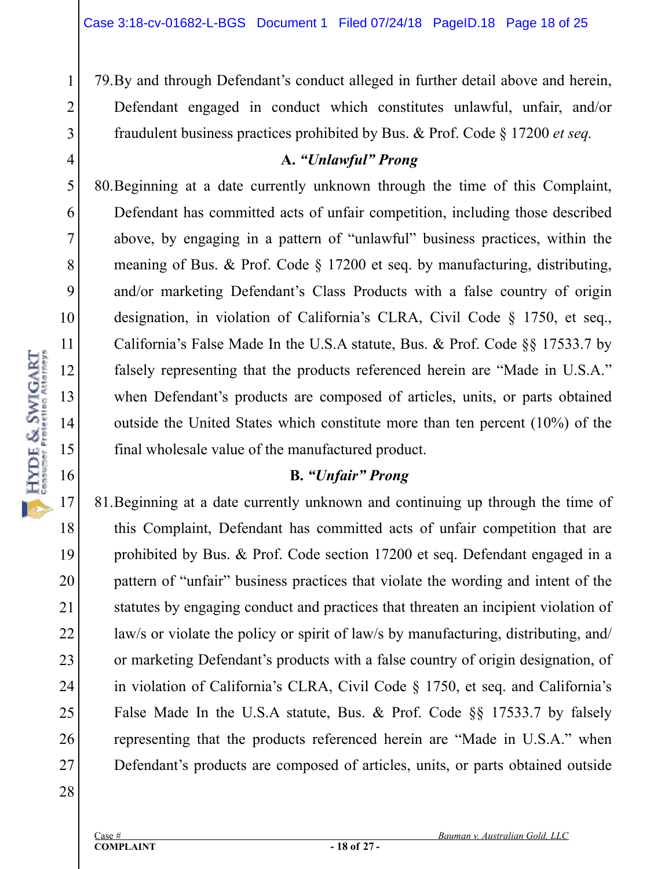79.By and through Defendant's conduct alleged in further detail above and herein, Defendant engaged in conduct which constitutes unlawful, unfair, and/or fraudulent business practices prohibited by Bus. & Prof. Code § 17200 *et seq.*

#### **A.** *"Unlawful" Prong*

80.Beginning at a date currently unknown through the time of this Complaint, Defendant has committed acts of unfair competition, including those described above, by engaging in a pattern of "unlawful" business practices, within the meaning of Bus. & Prof. Code § 17200 et seq. by manufacturing, distributing, and/or marketing Defendant's Class Products with a false country of origin designation, in violation of California's CLRA, Civil Code § 1750, et seq., California's False Made In the U.S.A statute, Bus. & Prof. Code §§ 17533.7 by falsely representing that the products referenced herein are "Made in U.S.A." when Defendant's products are composed of articles, units, or parts obtained outside the United States which constitute more than ten percent (10%) of the final wholesale value of the manufactured product.

## **B.** *"Unfair" Prong*

81.Beginning at a date currently unknown and continuing up through the time of this Complaint, Defendant has committed acts of unfair competition that are prohibited by Bus. & Prof. Code section 17200 et seq. Defendant engaged in a pattern of "unfair" business practices that violate the wording and intent of the statutes by engaging conduct and practices that threaten an incipient violation of law/s or violate the policy or spirit of law/s by manufacturing, distributing, and/ or marketing Defendant's products with a false country of origin designation, of in violation of California's CLRA, Civil Code § 1750, et seq. and California's False Made In the U.S.A statute, Bus. & Prof. Code §§ 17533.7 by falsely representing that the products referenced herein are "Made in U.S.A." when Defendant's products are composed of articles, units, or parts obtained outside

28

1

2

3

4

5

6

7

8

9

10

11

12

13

14

**HYDE & SWIGART** 

15

16

17

18

19

20

21

22

23

24

25

26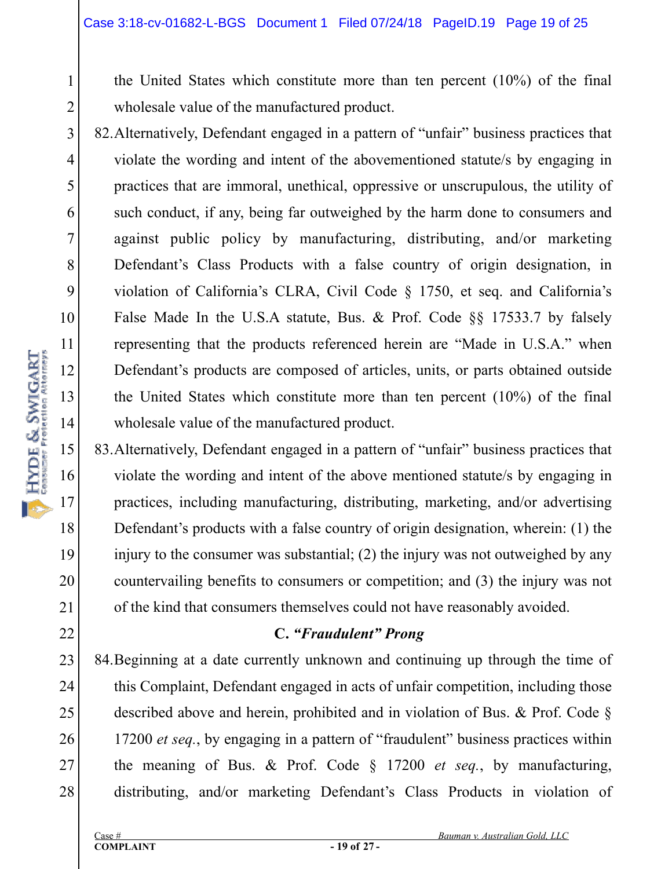the United States which constitute more than ten percent (10%) of the final wholesale value of the manufactured product.

3 4 5 6 8 9 10 14 82.Alternatively, Defendant engaged in a pattern of "unfair" business practices that violate the wording and intent of the abovementioned statute/s by engaging in practices that are immoral, unethical, oppressive or unscrupulous, the utility of such conduct, if any, being far outweighed by the harm done to consumers and against public policy by manufacturing, distributing, and/or marketing Defendant's Class Products with a false country of origin designation, in violation of California's CLRA, Civil Code § 1750, et seq. and California's False Made In the U.S.A statute, Bus. & Prof. Code §§ 17533.7 by falsely representing that the products referenced herein are "Made in U.S.A." when Defendant's products are composed of articles, units, or parts obtained outside the United States which constitute more than ten percent (10%) of the final wholesale value of the manufactured product.

83.Alternatively, Defendant engaged in a pattern of "unfair" business practices that violate the wording and intent of the above mentioned statute/s by engaging in practices, including manufacturing, distributing, marketing, and/or advertising Defendant's products with a false country of origin designation, wherein: (1) the injury to the consumer was substantial; (2) the injury was not outweighed by any countervailing benefits to consumers or competition; and (3) the injury was not of the kind that consumers themselves could not have reasonably avoided.

## **C.** *"Fraudulent" Prong*

23 24 25 26 27 28 84.Beginning at a date currently unknown and continuing up through the time of this Complaint, Defendant engaged in acts of unfair competition, including those described above and herein, prohibited and in violation of Bus. & Prof. Code § 17200 *et seq.*, by engaging in a pattern of "fraudulent" business practices within the meaning of Bus. & Prof. Code § 17200 *et seq.*, by manufacturing, distributing, and/or marketing Defendant's Class Products in violation of

1

2

7

11

12

13

16

17

18

19

20

21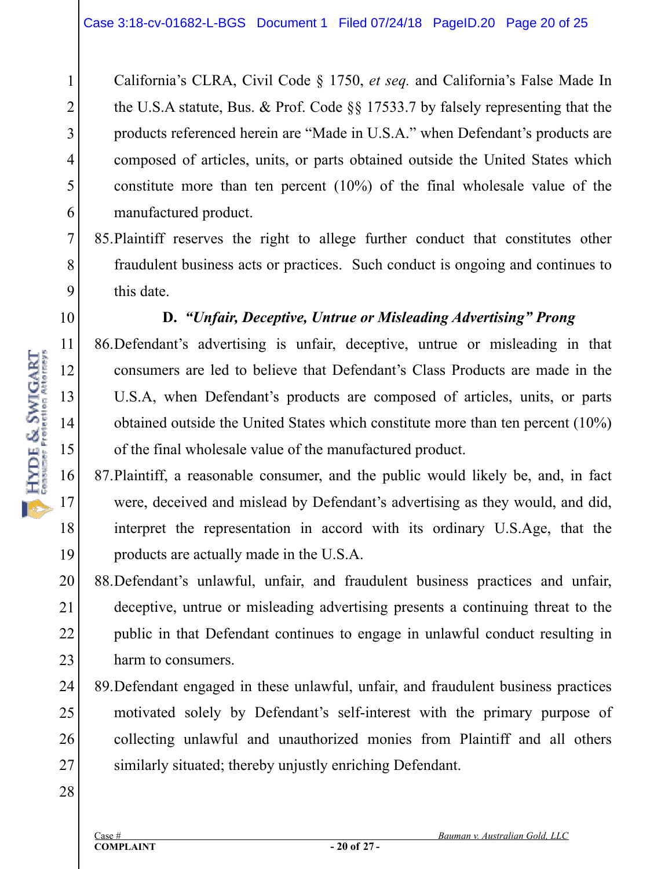California's CLRA, Civil Code § 1750, *et seq.* and California's False Made In the U.S.A statute, Bus. & Prof. Code §§ 17533.7 by falsely representing that the products referenced herein are "Made in U.S.A." when Defendant's products are composed of articles, units, or parts obtained outside the United States which constitute more than ten percent (10%) of the final wholesale value of the manufactured product.

85.Plaintiff reserves the right to allege further conduct that constitutes other fraudulent business acts or practices. Such conduct is ongoing and continues to this date.

#### **D.** *"Unfair, Deceptive, Untrue or Misleading Advertising" Prong*

86.Defendant's advertising is unfair, deceptive, untrue or misleading in that consumers are led to believe that Defendant's Class Products are made in the U.S.A, when Defendant's products are composed of articles, units, or parts obtained outside the United States which constitute more than ten percent (10%) of the final wholesale value of the manufactured product.

87.Plaintiff, a reasonable consumer, and the public would likely be, and, in fact were, deceived and mislead by Defendant's advertising as they would, and did, interpret the representation in accord with its ordinary U.S.Age, that the products are actually made in the U.S.A.

20 21 22 23 88.Defendant's unlawful, unfair, and fraudulent business practices and unfair, deceptive, untrue or misleading advertising presents a continuing threat to the public in that Defendant continues to engage in unlawful conduct resulting in harm to consumers.

24 25 26 27 89.Defendant engaged in these unlawful, unfair, and fraudulent business practices motivated solely by Defendant's self-interest with the primary purpose of collecting unlawful and unauthorized monies from Plaintiff and all others similarly situated; thereby unjustly enriching Defendant.

28

1

2

3

4

5

6

7

8

9

10

18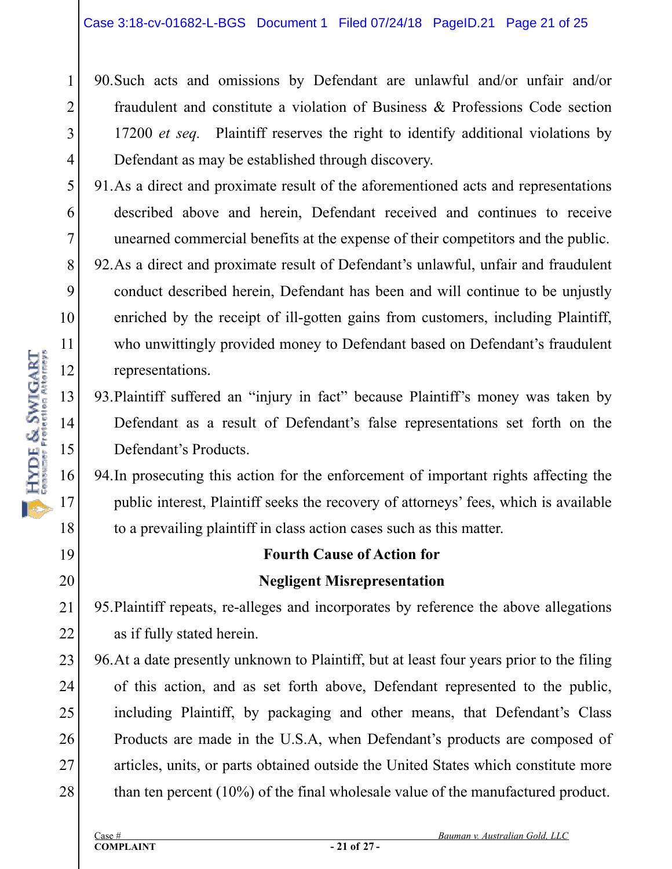90.Such acts and omissions by Defendant are unlawful and/or unfair and/or fraudulent and constitute a violation of Business & Professions Code section 17200 *et seq.* Plaintiff reserves the right to identify additional violations by Defendant as may be established through discovery.

- 91.As a direct and proximate result of the aforementioned acts and representations described above and herein, Defendant received and continues to receive unearned commercial benefits at the expense of their competitors and the public.
- 92.As a direct and proximate result of Defendant's unlawful, unfair and fraudulent conduct described herein, Defendant has been and will continue to be unjustly enriched by the receipt of ill-gotten gains from customers, including Plaintiff, who unwittingly provided money to Defendant based on Defendant's fraudulent representations.
- 93.Plaintiff suffered an "injury in fact" because Plaintiff's money was taken by Defendant as a result of Defendant's false representations set forth on the Defendant's Products.

94.In prosecuting this action for the enforcement of important rights affecting the public interest, Plaintiff seeks the recovery of attorneys' fees, which is available to a prevailing plaintiff in class action cases such as this matter.

# **Fourth Cause of Action for Negligent Misrepresentation**

21 22 95.Plaintiff repeats, re-alleges and incorporates by reference the above allegations as if fully stated herein.

23 24 25 26 27 28 96.At a date presently unknown to Plaintiff, but at least four years prior to the filing of this action, and as set forth above, Defendant represented to the public, including Plaintiff, by packaging and other means, that Defendant's Class Products are made in the U.S.A, when Defendant's products are composed of articles, units, or parts obtained outside the United States which constitute more than ten percent (10%) of the final wholesale value of the manufactured product.

1

2

3

4

5

6

7

8

9

10

11

12

13

14

15

16

17

18

19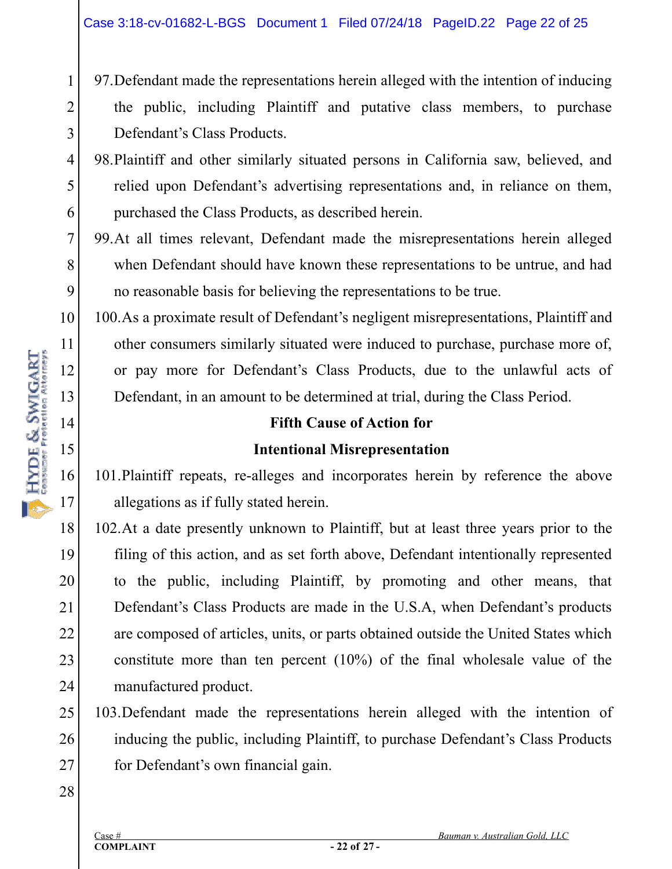- 97.Defendant made the representations herein alleged with the intention of inducing the public, including Plaintiff and putative class members, to purchase Defendant's Class Products.
- 5 98.Plaintiff and other similarly situated persons in California saw, believed, and relied upon Defendant's advertising representations and, in reliance on them, purchased the Class Products, as described herein.
- 7 8 9 99.At all times relevant, Defendant made the misrepresentations herein alleged when Defendant should have known these representations to be untrue, and had no reasonable basis for believing the representations to be true.

100.As a proximate result of Defendant's negligent misrepresentations, Plaintiff and other consumers similarly situated were induced to purchase, purchase more of, or pay more for Defendant's Class Products, due to the unlawful acts of Defendant, in an amount to be determined at trial, during the Class Period.

#### **Fifth Cause of Action for**

# **Intentional Misrepresentation**

101.Plaintiff repeats, re-alleges and incorporates herein by reference the above allegations as if fully stated herein.

18 19 20 21 22 23 24 102.At a date presently unknown to Plaintiff, but at least three years prior to the filing of this action, and as set forth above, Defendant intentionally represented to the public, including Plaintiff, by promoting and other means, that Defendant's Class Products are made in the U.S.A, when Defendant's products are composed of articles, units, or parts obtained outside the United States which constitute more than ten percent (10%) of the final wholesale value of the manufactured product.

25 26 27 103.Defendant made the representations herein alleged with the intention of inducing the public, including Plaintiff, to purchase Defendant's Class Products for Defendant's own financial gain.

28

1

2

3

4

6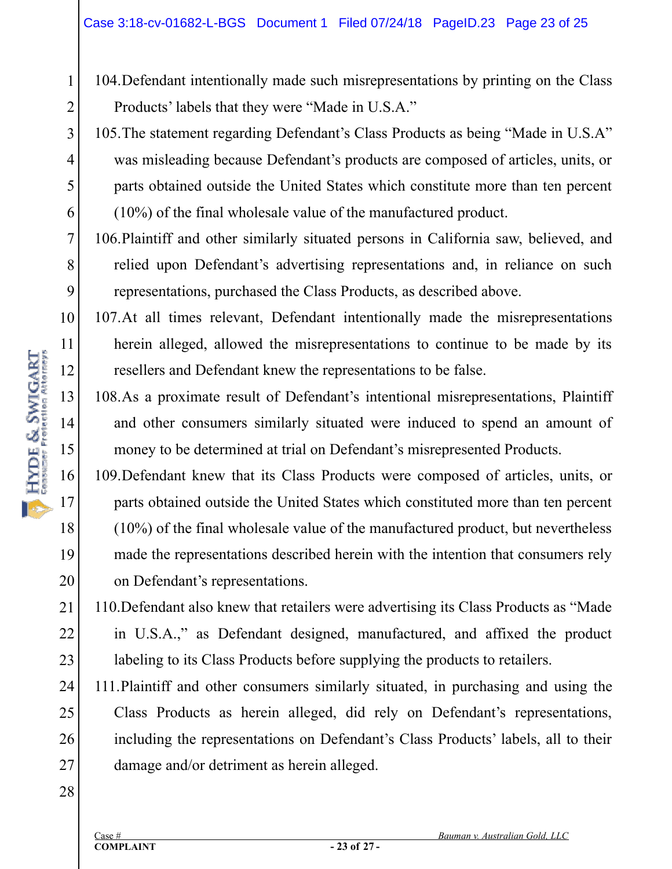- 104.Defendant intentionally made such misrepresentations by printing on the Class Products' labels that they were "Made in U.S.A."
- 105.The statement regarding Defendant's Class Products as being "Made in U.S.A" was misleading because Defendant's products are composed of articles, units, or parts obtained outside the United States which constitute more than ten percent (10%) of the final wholesale value of the manufactured product.
- 106.Plaintiff and other similarly situated persons in California saw, believed, and relied upon Defendant's advertising representations and, in reliance on such representations, purchased the Class Products, as described above.
- 10 12 107.At all times relevant, Defendant intentionally made the misrepresentations herein alleged, allowed the misrepresentations to continue to be made by its resellers and Defendant knew the representations to be false.
	- 108.As a proximate result of Defendant's intentional misrepresentations, Plaintiff and other consumers similarly situated were induced to spend an amount of money to be determined at trial on Defendant's misrepresented Products.
	- 109.Defendant knew that its Class Products were composed of articles, units, or parts obtained outside the United States which constituted more than ten percent (10%) of the final wholesale value of the manufactured product, but nevertheless made the representations described herein with the intention that consumers rely on Defendant's representations.
- 21 22 23 110.Defendant also knew that retailers were advertising its Class Products as "Made in U.S.A.," as Defendant designed, manufactured, and affixed the product labeling to its Class Products before supplying the products to retailers.
- 24 25 26 27 111.Plaintiff and other consumers similarly situated, in purchasing and using the Class Products as herein alleged, did rely on Defendant's representations, including the representations on Defendant's Class Products' labels, all to their damage and/or detriment as herein alleged.

1

2

3

4

5

6

7

8

9

11

13

14

16

17

18

19

20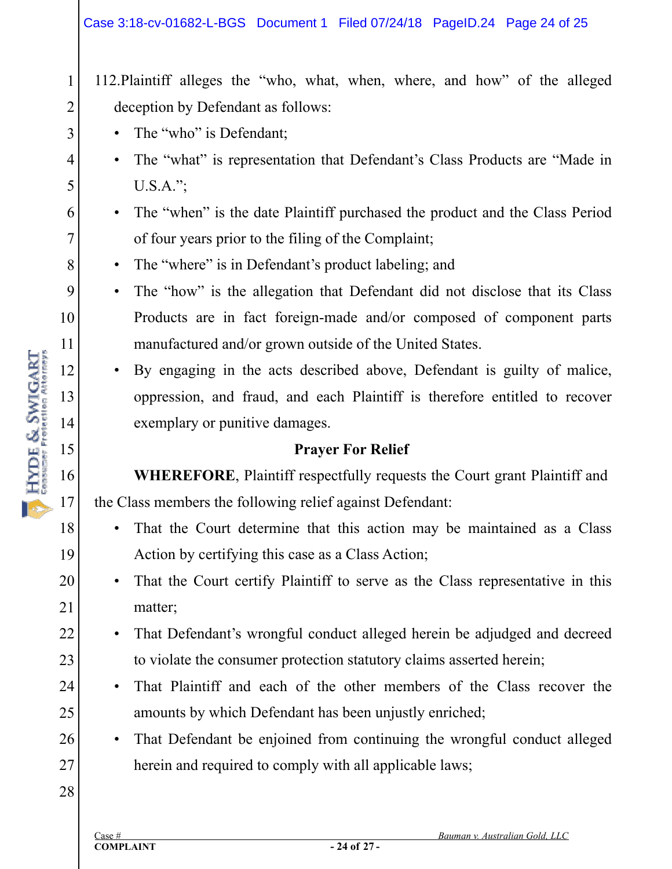#### Case 3:18-cv-01682-L-BGS Document 1 Filed 07/24/18 PageID.24 Page 24 of 25

112.Plaintiff alleges the "who, what, when, where, and how" of the alleged deception by Defendant as follows:

• The "who" is Defendant;

1

2

3

4

5

6

7

8

9

10

11

12

13

14

HYDE & SWIGART

15

16

17

18

19

20

21

22

23

24

25

- The "what" is representation that Defendant's Class Products are "Made in U.S.A.";
- The "when" is the date Plaintiff purchased the product and the Class Period of four years prior to the filing of the Complaint;
- The "where" is in Defendant's product labeling; and
- The "how" is the allegation that Defendant did not disclose that its Class Products are in fact foreign-made and/or composed of component parts manufactured and/or grown outside of the United States.
- By engaging in the acts described above, Defendant is guilty of malice, oppression, and fraud, and each Plaintiff is therefore entitled to recover exemplary or punitive damages.

## **Prayer For Relief**

**WHEREFORE**, Plaintiff respectfully requests the Court grant Plaintiff and the Class members the following relief against Defendant:

- That the Court determine that this action may be maintained as a Class Action by certifying this case as a Class Action;
- That the Court certify Plaintiff to serve as the Class representative in this matter;
- That Defendant's wrongful conduct alleged herein be adjudged and decreed to violate the consumer protection statutory claims asserted herein;
- That Plaintiff and each of the other members of the Class recover the amounts by which Defendant has been unjustly enriched;
- 26 • That Defendant be enjoined from continuing the wrongful conduct alleged herein and required to comply with all applicable laws;

28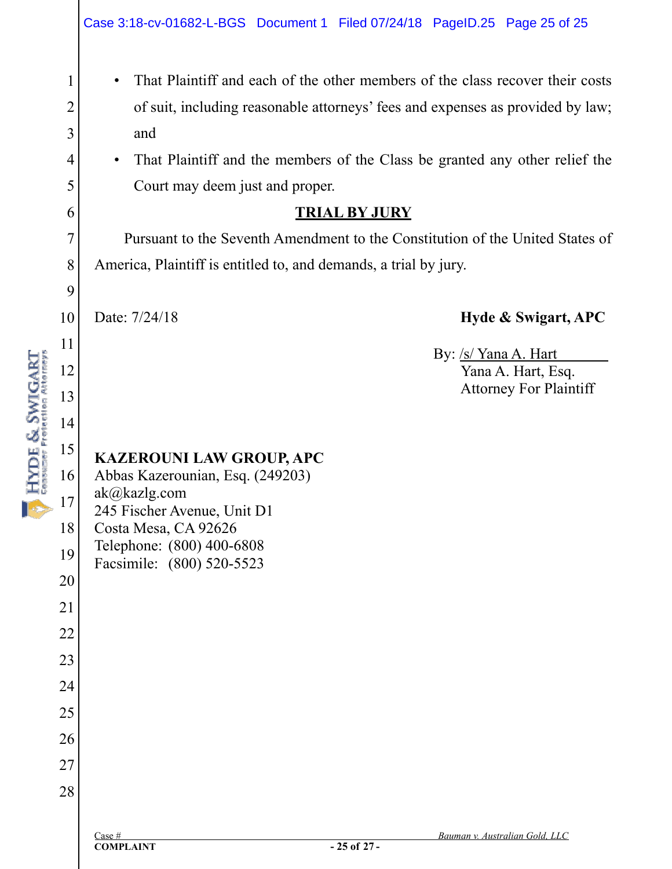| • That Plaintiff and each of the other members of the class recover their costs |
|---------------------------------------------------------------------------------|
| of suit, including reasonable attorneys' fees and expenses as provided by law;  |
| and                                                                             |

• That Plaintiff and the members of the Class be granted any other relief the Court may deem just and proper.

#### **TRIAL BY JURY**

 Pursuant to the Seventh Amendment to the Constitution of the United States of America, Plaintiff is entitled to, and demands, a trial by jury.

10

1

2

3

4

5

6

7

8

9

11

12

13

14

HYDE & SWIGART

15

28

## Date: 7/24/18 **Hyde & Swigart, APC**

 By: /s/ Yana A. Hart Yana A. Hart, Esq. Attorney For Plaintiff

#### **KAZEROUNI LAW GROUP, APC**  Abbas Kazerounian, Esq. (249203)

16 17 18 19 20 21 22 23 24 25 26 27 ak@kazlg.com 245 Fischer Avenue, Unit D1 Costa Mesa, CA 92626 Telephone: (800) 400-6808 Facsimile: (800) 520-5523

**COMPLAINT**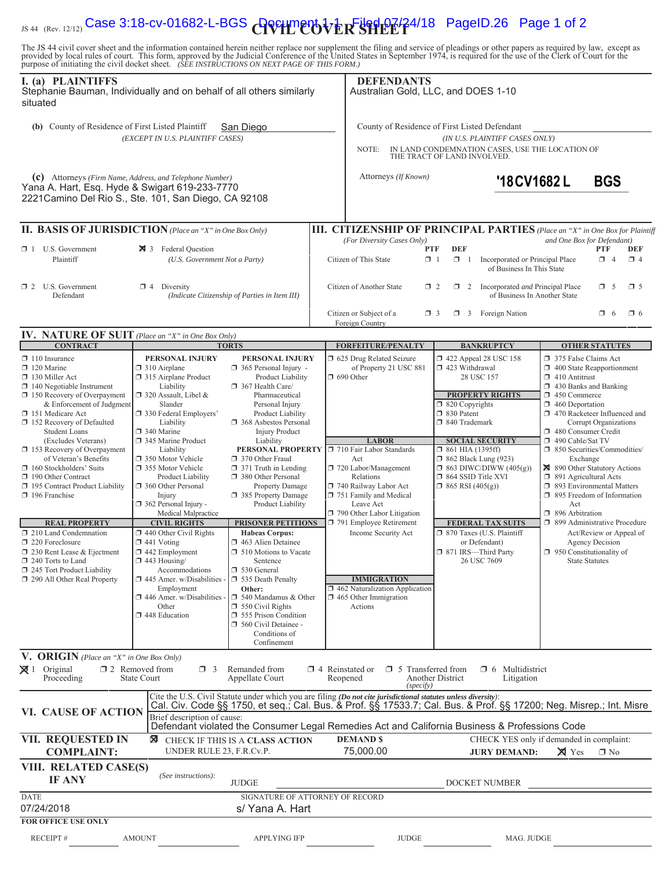# IS 44 (Rev. 12/12) Case 3:18-CV-01682-L-BGS **COVILLE OVER SHEET** 4/18 PageID.26 Page 1 of 2

The JS 44 civil cover sheet and the information contained herein neither replace nor supplement the filing and service of pleadings or other papers as required by law, except as provided by local rules of court. This form,

| purpose of initiating the civil docket sheet. (BEE INSTRUCTIONS ON NEAT FAGE OF THIS FORM.)<br>I. (a) PLAINTIFFS<br>Stephanie Bauman, Individually and on behalf of all others similarly<br>situated                                                                                                                |                                                                                                                                                                                                                                                                                                                                                                                                                                                                                                                                                                                                                                                                                                                                                                                                                                                                                                                                                                                                           |                                                                                                                                                                                   | <b>DEFENDANTS</b><br>Australian Gold, LLC, and DOES 1-10                                                                                                                                                                                                                                                                               |                                                                                                                                                   |                                                                                                                                                                                                                                  |                                                                                                                                                                                                                                                                                 |                        |                        |
|---------------------------------------------------------------------------------------------------------------------------------------------------------------------------------------------------------------------------------------------------------------------------------------------------------------------|-----------------------------------------------------------------------------------------------------------------------------------------------------------------------------------------------------------------------------------------------------------------------------------------------------------------------------------------------------------------------------------------------------------------------------------------------------------------------------------------------------------------------------------------------------------------------------------------------------------------------------------------------------------------------------------------------------------------------------------------------------------------------------------------------------------------------------------------------------------------------------------------------------------------------------------------------------------------------------------------------------------|-----------------------------------------------------------------------------------------------------------------------------------------------------------------------------------|----------------------------------------------------------------------------------------------------------------------------------------------------------------------------------------------------------------------------------------------------------------------------------------------------------------------------------------|---------------------------------------------------------------------------------------------------------------------------------------------------|----------------------------------------------------------------------------------------------------------------------------------------------------------------------------------------------------------------------------------|---------------------------------------------------------------------------------------------------------------------------------------------------------------------------------------------------------------------------------------------------------------------------------|------------------------|------------------------|
| (b) County of Residence of First Listed Plaintiff<br>San Diego<br>(EXCEPT IN U.S. PLAINTIFF CASES)                                                                                                                                                                                                                  |                                                                                                                                                                                                                                                                                                                                                                                                                                                                                                                                                                                                                                                                                                                                                                                                                                                                                                                                                                                                           |                                                                                                                                                                                   | County of Residence of First Listed Defendant<br>(IN U.S. PLAINTIFF CASES ONLY)<br>NOTE:<br>IN LAND CONDEMNATION CASES, USE THE LOCATION OF<br>THE TRACT OF LAND INVOLVED.                                                                                                                                                             |                                                                                                                                                   |                                                                                                                                                                                                                                  |                                                                                                                                                                                                                                                                                 |                        |                        |
| (c) Attorneys (Firm Name, Address, and Telephone Number)<br>Yana A. Hart, Esq. Hyde & Swigart 619-233-7770<br>2221 Camino Del Rio S., Ste. 101, San Diego, CA 92108                                                                                                                                                 |                                                                                                                                                                                                                                                                                                                                                                                                                                                                                                                                                                                                                                                                                                                                                                                                                                                                                                                                                                                                           |                                                                                                                                                                                   | Attorneys (If Known)                                                                                                                                                                                                                                                                                                                   |                                                                                                                                                   | '18CV1682L                                                                                                                                                                                                                       | <b>BGS</b>                                                                                                                                                                                                                                                                      |                        |                        |
| II. BASIS OF JURISDICTION (Place an "X" in One Box Only)                                                                                                                                                                                                                                                            |                                                                                                                                                                                                                                                                                                                                                                                                                                                                                                                                                                                                                                                                                                                                                                                                                                                                                                                                                                                                           |                                                                                                                                                                                   | III. CITIZENSHIP OF PRINCIPAL PARTIES (Place an "X" in One Box for Plaintiff                                                                                                                                                                                                                                                           |                                                                                                                                                   |                                                                                                                                                                                                                                  |                                                                                                                                                                                                                                                                                 |                        |                        |
| $\Box$ 1 U.S. Government<br>Plaintiff                                                                                                                                                                                                                                                                               | 3 Federal Question<br>(U.S. Government Not a Party)                                                                                                                                                                                                                                                                                                                                                                                                                                                                                                                                                                                                                                                                                                                                                                                                                                                                                                                                                       |                                                                                                                                                                                   | (For Diversity Cases Only)<br>Citizen of This State                                                                                                                                                                                                                                                                                    | <b>PTF</b><br><b>DEF</b><br>$\Box$ 1<br>$\Box$ 1                                                                                                  | Incorporated or Principal Place<br>of Business In This State                                                                                                                                                                     | and One Box for Defendant)                                                                                                                                                                                                                                                      | <b>PTF</b><br>$\Box$ 4 | <b>DEF</b><br>$\Box$ 4 |
| $\Box$ 2 U.S. Government<br>Defendant                                                                                                                                                                                                                                                                               | $\Box$ 4 Diversity                                                                                                                                                                                                                                                                                                                                                                                                                                                                                                                                                                                                                                                                                                                                                                                                                                                                                                                                                                                        | (Indicate Citizenship of Parties in Item III)                                                                                                                                     | Citizen of Another State                                                                                                                                                                                                                                                                                                               | $\Box$ 2                                                                                                                                          | $\Box$ 2 Incorporated <i>and</i> Principal Place<br>of Business In Another State                                                                                                                                                 |                                                                                                                                                                                                                                                                                 | $\Box$ 5               | $\square$ 5            |
| IV. NATURE OF SUIT (Place an "X" in One Box Only)                                                                                                                                                                                                                                                                   |                                                                                                                                                                                                                                                                                                                                                                                                                                                                                                                                                                                                                                                                                                                                                                                                                                                                                                                                                                                                           |                                                                                                                                                                                   | Citizen or Subject of a<br>Foreign Country                                                                                                                                                                                                                                                                                             | $\Box$ 3                                                                                                                                          | $\Box$ 3 Foreign Nation                                                                                                                                                                                                          |                                                                                                                                                                                                                                                                                 | $\Box$ 6               | $\Box$ 6               |
| <b>CONTRACT</b>                                                                                                                                                                                                                                                                                                     |                                                                                                                                                                                                                                                                                                                                                                                                                                                                                                                                                                                                                                                                                                                                                                                                                                                                                                                                                                                                           | <b>TORTS</b>                                                                                                                                                                      | <b>FORFEITURE/PENALTY</b>                                                                                                                                                                                                                                                                                                              |                                                                                                                                                   | <b>BANKRUPTCY</b>                                                                                                                                                                                                                |                                                                                                                                                                                                                                                                                 | <b>OTHER STATUTES</b>  |                        |
| $\Box$ 110 Insurance<br>$\Box$ 120 Marine<br>130 Miller Act<br>$\Box$ 140 Negotiable Instrument<br>150 Recovery of Overpayment<br>& Enforcement of Judgment<br>151 Medicare Act<br>152 Recovery of Defaulted<br><b>Student Loans</b><br>(Excludes Veterans)<br>153 Recovery of Overpayment<br>of Veteran's Benefits | PERSONAL INJURY<br>PERSONAL INJURY<br>$\Box$ 310 Airplane<br>365 Personal Injury -<br>315 Airplane Product<br>Product Liability<br>Liability<br>367 Health Care/<br>□ 320 Assault, Libel &<br>Pharmaceutical<br>Slander<br>Personal Injury<br>□ 330 Federal Employers'<br>Product Liability<br>Liability<br><b>1</b> 368 Asbestos Personal<br>340 Marine<br><b>Injury Product</b><br>345 Marine Product<br>Liability<br>Liability<br>PERSONAL PROPERTY<br>350 Motor Vehicle<br>370 Other Fraud<br>□ 355 Motor Vehicle<br>$\Box$ 371 Truth in Lending<br>380 Other Personal<br>Product Liability<br>360 Other Personal<br>Property Damage<br>385 Property Damage<br>Injury<br>$\Box$ 362 Personal Injury -<br>Product Liability<br>Medical Malpractice<br><b>CIVIL RIGHTS</b><br><b>PRISONER PETITIONS</b><br>1 440 Other Civil Rights<br><b>Habeas Corpus:</b><br>$\Box$ 441 Voting<br>1463 Alien Detainee<br>$\square$ 442 Employment<br>$\Box$ 510 Motions to Vacate<br>$\Box$ 443 Housing/<br>Sentence |                                                                                                                                                                                   | 1 625 Drug Related Seizure<br>of Property 21 USC 881<br><b>1 690 Other</b><br><b>LABOR</b><br>710 Fair Labor Standards<br>Act                                                                                                                                                                                                          | 423 Withdrawal<br>$\Box$ 820 Copyrights<br>□ 830 Patent<br>□ 840 Trademark<br>□ 861 HIA (1395ff)                                                  | $\Box$ 422 Appeal 28 USC 158<br>28 USC 157<br><b>PROPERTY RIGHTS</b><br><b>SOCIAL SECURITY</b><br>$\Box$ 862 Black Lung (923)                                                                                                    | 375 False Claims Act<br>1 400 State Reapportionment<br>$\Box$ 410 Antitrust<br>$\Box$ 430 Banks and Banking<br>450 Commerce<br>$\Box$ 460 Deportation<br>1 470 Racketeer Influenced and<br>480 Consumer Credit<br>490 Cable/Sat TV<br>□ 850 Securities/Commodities/<br>Exchange | Corrupt Organizations  |                        |
| 160 Stockholders' Suits<br>190 Other Contract<br>195 Contract Product Liability<br>$\Box$ 196 Franchise<br><b>REAL PROPERTY</b><br>210 Land Condemnation<br>$\Box$ 220 Foreclosure<br>□ 230 Rent Lease & Ejectment<br>240 Torts to Land                                                                             |                                                                                                                                                                                                                                                                                                                                                                                                                                                                                                                                                                                                                                                                                                                                                                                                                                                                                                                                                                                                           | 720 Labor/Management<br>Relations<br>740 Railway Labor Act<br>751 Family and Medical<br>Leave Act<br>790 Other Labor Litigation<br>791 Employee Retirement<br>Income Security Act | □ 864 SSID Title XVI<br>$\Box$ 865 RSI (405(g))                                                                                                                                                                                                                                                                                        | $\Box$ 863 DIWC/DIWW (405(g))<br><b>FEDERAL TAX SUITS</b><br>□ 870 Taxes (U.S. Plaintiff<br>or Defendant)<br>□ 871 IRS-Third Party<br>26 USC 7609 | 890 Other Statutory Actions<br>□ 891 Agricultural Acts<br>5 893 Environmental Matters<br>$\Box$ 895 Freedom of Information<br>Act<br>$\Box$ 896 Arbitration<br>□ 899 Administrative Procedure<br>$\Box$ 950 Constitutionality of | Act/Review or Appeal of<br><b>Agency Decision</b><br><b>State Statutes</b>                                                                                                                                                                                                      |                        |                        |
| 245 Tort Product Liability<br>290 All Other Real Property                                                                                                                                                                                                                                                           | Accommodations<br>□ 530 General<br>$\Box$ 445 Amer. w/Disabilities -<br>535 Death Penalty<br>Employment<br>Other:<br>$\Box$ 446 Amer. w/Disabilities -<br>$\Box$ 540 Mandamus & Other<br>Other<br>$\Box$ 550 Civil Rights<br>448 Education<br>555 Prison Condition<br>560 Civil Detainee -<br>Conditions of<br>Confinement                                                                                                                                                                                                                                                                                                                                                                                                                                                                                                                                                                                                                                                                                |                                                                                                                                                                                   | <b>IMMIGRATION</b><br>$\Box$ 462 Naturalization Application<br>$\Box$ 465 Other Immigration<br>Actions                                                                                                                                                                                                                                 |                                                                                                                                                   |                                                                                                                                                                                                                                  |                                                                                                                                                                                                                                                                                 |                        |                        |
| V. ORIGIN (Place an "X" in One Box Only)<br>$\boxtimes$ 1 Original<br>Proceeding                                                                                                                                                                                                                                    | $\Box$ 2 Removed from<br>$\Box$ 3<br><b>State Court</b>                                                                                                                                                                                                                                                                                                                                                                                                                                                                                                                                                                                                                                                                                                                                                                                                                                                                                                                                                   | Remanded from<br>Appellate Court                                                                                                                                                  | $\Box$ 4 Reinstated or<br>$\Box$ 5 Transferred from<br>Reopened<br>(specify)                                                                                                                                                                                                                                                           | Another District                                                                                                                                  | $\Box$ 6 Multidistrict<br>Litigation                                                                                                                                                                                             |                                                                                                                                                                                                                                                                                 |                        |                        |
| VI. CAUSE OF ACTION                                                                                                                                                                                                                                                                                                 | Brief description of cause:                                                                                                                                                                                                                                                                                                                                                                                                                                                                                                                                                                                                                                                                                                                                                                                                                                                                                                                                                                               |                                                                                                                                                                                   | Cite the U.S. Civil Statute under which you are filing (Do not cite jurisdictional statutes unless diversity):<br>Cal. Civ. Code §§ 1750, et seq.; Cal. Bus. & Prof. §§ 17533.7; Cal. Bus. & Prof. §§ 17200; Neg. Misrep.; Int. Misre<br>Defendant violated the Consumer Legal Remedies Act and California Business & Professions Code |                                                                                                                                                   |                                                                                                                                                                                                                                  |                                                                                                                                                                                                                                                                                 |                        |                        |
| VII. REQUESTED IN<br><b>COMPLAINT:</b>                                                                                                                                                                                                                                                                              | ⊠<br>UNDER RULE 23, F.R.Cv.P.                                                                                                                                                                                                                                                                                                                                                                                                                                                                                                                                                                                                                                                                                                                                                                                                                                                                                                                                                                             | CHECK IF THIS IS A CLASS ACTION                                                                                                                                                   | <b>DEMAND \$</b><br>75,000.00                                                                                                                                                                                                                                                                                                          |                                                                                                                                                   | CHECK YES only if demanded in complaint:<br><b>JURY DEMAND:</b>                                                                                                                                                                  | $\times$ Yes                                                                                                                                                                                                                                                                    | $\square$ No           |                        |
| VIII. RELATED CASE(S)<br><b>IF ANY</b>                                                                                                                                                                                                                                                                              | (See instructions):                                                                                                                                                                                                                                                                                                                                                                                                                                                                                                                                                                                                                                                                                                                                                                                                                                                                                                                                                                                       | <b>JUDGE</b>                                                                                                                                                                      |                                                                                                                                                                                                                                                                                                                                        |                                                                                                                                                   | DOCKET NUMBER                                                                                                                                                                                                                    |                                                                                                                                                                                                                                                                                 |                        |                        |
| <b>DATE</b><br>07/24/2018<br><b>FOR OFFICE USE ONLY</b>                                                                                                                                                                                                                                                             |                                                                                                                                                                                                                                                                                                                                                                                                                                                                                                                                                                                                                                                                                                                                                                                                                                                                                                                                                                                                           | SIGNATURE OF ATTORNEY OF RECORD<br>s/ Yana A. Hart                                                                                                                                |                                                                                                                                                                                                                                                                                                                                        |                                                                                                                                                   |                                                                                                                                                                                                                                  |                                                                                                                                                                                                                                                                                 |                        |                        |
| RECEIPT#                                                                                                                                                                                                                                                                                                            | <b>AMOUNT</b>                                                                                                                                                                                                                                                                                                                                                                                                                                                                                                                                                                                                                                                                                                                                                                                                                                                                                                                                                                                             | <b>APPLYING IFP</b>                                                                                                                                                               | <b>JUDGE</b>                                                                                                                                                                                                                                                                                                                           |                                                                                                                                                   | MAG. JUDGE                                                                                                                                                                                                                       |                                                                                                                                                                                                                                                                                 |                        |                        |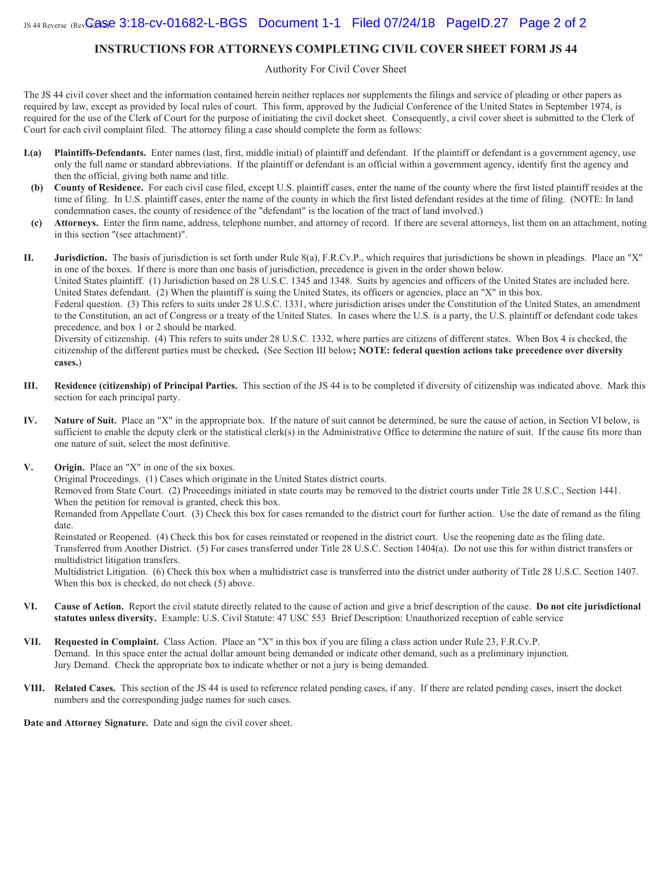#### **INSTRUCTIONS FOR ATTORNEYS COMPLETING CIVIL COVER SHEET FORM JS 44**

Authority For Civil Cover Sheet

The JS 44 civil cover sheet and the information contained herein neither replaces nor supplements the filings and service of pleading or other papers as required by law, except as provided by local rules of court. This form, approved by the Judicial Conference of the United States in September 1974, is required for the use of the Clerk of Court for the purpose of initiating the civil docket sheet. Consequently, a civil cover sheet is submitted to the Clerk of Court for each civil complaint filed. The attorney filing a case should complete the form as follows:

- **I.(a)** Plaintiffs-Defendants. Enter names (last, first, middle initial) of plaintiff and defendant. If the plaintiff or defendant is a government agency, use only the full name or standard abbreviations. If the plaintiff or defendant is an official within a government agency, identify first the agency and then the official, giving both name and title.
- (b) County of Residence. For each civil case filed, except U.S. plaintiff cases, enter the name of the county where the first listed plaintiff resides at the time of filing. In U.S. plaintiff cases, enter the name of the county in which the first listed defendant resides at the time of filing. (NOTE: In land condemnation cases, the county of residence of the "defendant" is the location of the tract of land involved.)
- (c) Attorneys. Enter the firm name, address, telephone number, and attorney of record. If there are several attorneys, list them on an attachment, noting in this section "(see attachment)".

**II.** Jurisdiction. The basis of jurisdiction is set forth under Rule 8(a), F.R.Cv.P., which requires that jurisdictions be shown in pleadings. Place an "X" in one of the boxes. If there is more than one basis of jurisdiction, precedence is given in the order shown below. United States plaintiff. (1) Jurisdiction based on 28 U.S.C. 1345 and 1348. Suits by agencies and officers of the United States are included here. United States defendant. (2) When the plaintiff is suing the United States, its officers or agencies, place an "X" in this box. Federal question. (3) This refers to suits under 28 U.S.C. 1331, where jurisdiction arises under the Constitution of the United States, an amendment to the Constitution, an act of Congress or a treaty of the United States. In cases where the U.S. is a party, the U.S. plaintiff or defendant code takes precedence, and box 1 or 2 should be marked.

Diversity of citizenship. (4) This refers to suits under 28 U.S.C. 1332, where parties are citizens of different states. When Box 4 is checked, the citizenship of the different parties must be checked. (See Section III below; NOTE: federal question actions take precedence over diversity **cases.** 

- **III.** Residence (citizenship) of Principal Parties. This section of the JS 44 is to be completed if diversity of citizenship was indicated above. Mark this section for each principal party.
- **IV.** Nature of Suit. Place an "X" in the appropriate box. If the nature of suit cannot be determined, be sure the cause of action, in Section VI below, is sufficient to enable the deputy clerk or the statistical clerk(s) in the Administrative Office to determine the nature of suit. If the cause fits more than one nature of suit, select the most definitive.
- **V.** Origin. Place an "X" in one of the six boxes.

Original Proceedings. (1) Cases which originate in the United States district courts.

Removed from State Court. (2) Proceedings initiated in state courts may be removed to the district courts under Title 28 U.S.C., Section 1441. When the petition for removal is granted, check this box.

Remanded from Appellate Court. (3) Check this box for cases remanded to the district court for further action. Use the date of remand as the filing date

Reinstated or Reopened. (4) Check this box for cases reinstated or reopened in the district court. Use the reopening date as the filing date. Transferred from Another District. (5) For cases transferred under Title 28 U.S.C. Section 1404(a). Do not use this for within district transfers or multidistrict litigation transfers.

Multidistrict Litigation. (6) Check this box when a multidistrict case is transferred into the district under authority of Title 28 U.S.C. Section 1407. When this box is checked, do not check  $(5)$  above.

- VI. Cause of Action. Report the civil statute directly related to the cause of action and give a brief description of the cause. Do not cite jurisdictional statutes unless diversity. Example: U.S. Civil Statute: 47 USC 553 Brief Description: Unauthorized reception of cable service
- **VII.** Requested in Complaint. Class Action. Place an "X" in this box if you are filing a class action under Rule 23, F.R.Cv.P. Demand. In this space enter the actual dollar amount being demanded or indicate other demand, such as a preliminary injunction. Jury Demand. Check the appropriate box to indicate whether or not a jury is being demanded.
- VIII. Related Cases. This section of the JS 44 is used to reference related pending cases, if any. If there are related pending cases, insert the docket numbers and the corresponding judge names for such cases.

Date and Attorney Signature. Date and sign the civil cover sheet.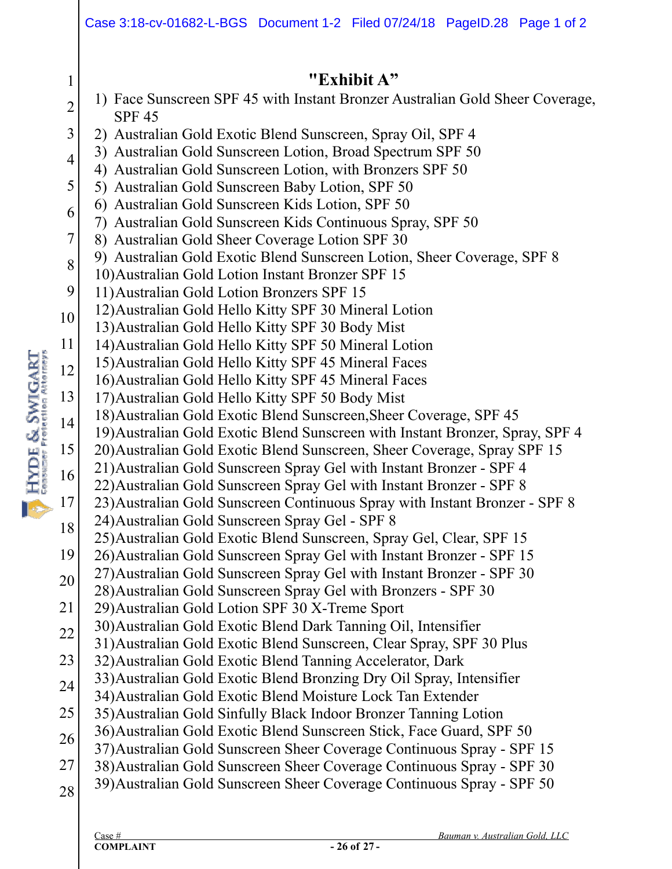|                | Case 3:18-cv-01682-L-BGS Document 1-2 Filed 07/24/18 PageID.28 Page 1 of 2                                                                          |  |  |  |  |  |  |
|----------------|-----------------------------------------------------------------------------------------------------------------------------------------------------|--|--|--|--|--|--|
|                |                                                                                                                                                     |  |  |  |  |  |  |
| $\mathbf{1}$   | "Exhibit A"<br>1) Face Sunscreen SPF 45 with Instant Bronzer Australian Gold Sheer Coverage,                                                        |  |  |  |  |  |  |
| $\overline{2}$ | <b>SPF 45</b>                                                                                                                                       |  |  |  |  |  |  |
| 3              | 2) Australian Gold Exotic Blend Sunscreen, Spray Oil, SPF 4                                                                                         |  |  |  |  |  |  |
| $\overline{4}$ | 3) Australian Gold Sunscreen Lotion, Broad Spectrum SPF 50<br>4) Australian Gold Sunscreen Lotion, with Bronzers SPF 50                             |  |  |  |  |  |  |
| 5              | 5) Australian Gold Sunscreen Baby Lotion, SPF 50                                                                                                    |  |  |  |  |  |  |
| 6              | 6) Australian Gold Sunscreen Kids Lotion, SPF 50                                                                                                    |  |  |  |  |  |  |
| 7              | 7) Australian Gold Sunscreen Kids Continuous Spray, SPF 50                                                                                          |  |  |  |  |  |  |
|                | 8) Australian Gold Sheer Coverage Lotion SPF 30<br>9) Australian Gold Exotic Blend Sunscreen Lotion, Sheer Coverage, SPF 8                          |  |  |  |  |  |  |
| 8              | 10) Australian Gold Lotion Instant Bronzer SPF 15                                                                                                   |  |  |  |  |  |  |
| 9              | 11) Australian Gold Lotion Bronzers SPF 15                                                                                                          |  |  |  |  |  |  |
| 10             | 12) Australian Gold Hello Kitty SPF 30 Mineral Lotion                                                                                               |  |  |  |  |  |  |
| 11             | 13) Australian Gold Hello Kitty SPF 30 Body Mist<br>14) Australian Gold Hello Kitty SPF 50 Mineral Lotion                                           |  |  |  |  |  |  |
| 12             | 15) Australian Gold Hello Kitty SPF 45 Mineral Faces                                                                                                |  |  |  |  |  |  |
|                | 16) Australian Gold Hello Kitty SPF 45 Mineral Faces                                                                                                |  |  |  |  |  |  |
| 13             | 17) Australian Gold Hello Kitty SPF 50 Body Mist                                                                                                    |  |  |  |  |  |  |
| 14             | 18) Australian Gold Exotic Blend Sunscreen, Sheer Coverage, SPF 45<br>19) Australian Gold Exotic Blend Sunscreen with Instant Bronzer, Spray, SPF 4 |  |  |  |  |  |  |
| 15             | 20) Australian Gold Exotic Blend Sunscreen, Sheer Coverage, Spray SPF 15                                                                            |  |  |  |  |  |  |
| 16             | 21) Australian Gold Sunscreen Spray Gel with Instant Bronzer - SPF 4                                                                                |  |  |  |  |  |  |
|                | 22) Australian Gold Sunscreen Spray Gel with Instant Bronzer - SPF 8                                                                                |  |  |  |  |  |  |
| 17             | 23) Australian Gold Sunscreen Continuous Spray with Instant Bronzer - SPF 8<br>24) Australian Gold Sunscreen Spray Gel - SPF 8                      |  |  |  |  |  |  |
| 18             | 25) Australian Gold Exotic Blend Sunscreen, Spray Gel, Clear, SPF 15                                                                                |  |  |  |  |  |  |
| 19             | 26) Australian Gold Sunscreen Spray Gel with Instant Bronzer - SPF 15                                                                               |  |  |  |  |  |  |
| 20             | 27) Australian Gold Sunscreen Spray Gel with Instant Bronzer - SPF 30                                                                               |  |  |  |  |  |  |
| 21             | 28) Australian Gold Sunscreen Spray Gel with Bronzers - SPF 30<br>29) Australian Gold Lotion SPF 30 X-Treme Sport                                   |  |  |  |  |  |  |
| 22             | 30) Australian Gold Exotic Blend Dark Tanning Oil, Intensifier                                                                                      |  |  |  |  |  |  |
|                | 31) Australian Gold Exotic Blend Sunscreen, Clear Spray, SPF 30 Plus                                                                                |  |  |  |  |  |  |
| 23             | 32) Australian Gold Exotic Blend Tanning Accelerator, Dark<br>33) Australian Gold Exotic Blend Bronzing Dry Oil Spray, Intensifier                  |  |  |  |  |  |  |
| 24             | 34) Australian Gold Exotic Blend Moisture Lock Tan Extender                                                                                         |  |  |  |  |  |  |
| 25             | 35) Australian Gold Sinfully Black Indoor Bronzer Tanning Lotion                                                                                    |  |  |  |  |  |  |
| 26             | 36) Australian Gold Exotic Blend Sunscreen Stick, Face Guard, SPF 50                                                                                |  |  |  |  |  |  |
| 27             | 37) Australian Gold Sunscreen Sheer Coverage Continuous Spray - SPF 15<br>38) Australian Gold Sunscreen Sheer Coverage Continuous Spray - SPF 30    |  |  |  |  |  |  |
|                | 39) Australian Gold Sunscreen Sheer Coverage Continuous Spray - SPF 50                                                                              |  |  |  |  |  |  |
| 28             |                                                                                                                                                     |  |  |  |  |  |  |
|                |                                                                                                                                                     |  |  |  |  |  |  |